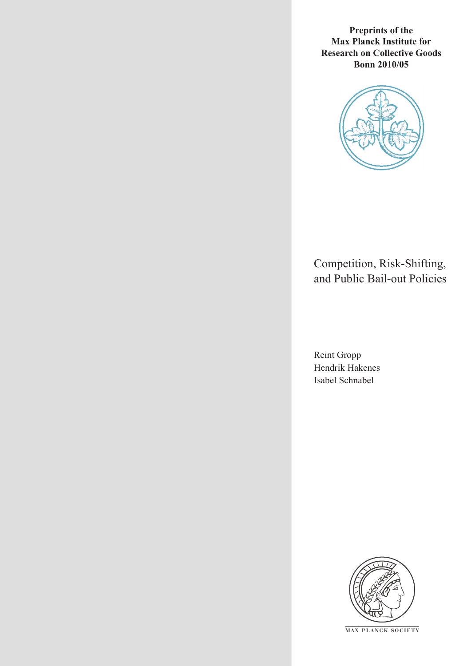**Preprints of the Max Planck Institute for Research on Collective Goods Bonn 2010/05**



### Competition, Risk-Shifting, and Public Bail-out Policies

Reint Gropp Hendrik Hakenes Isabel Schnabel



**M AX P L A N C K S O C I E T Y**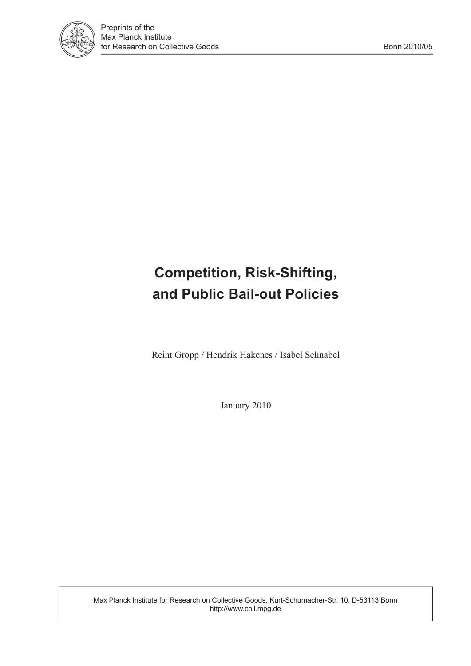

### **Competition, Risk-Shifting, and Public Bail-out Policies**

Reint Gropp / Hendrik Hakenes / Isabel Schnabel

January 2010

Max Planck Institute for Research on Collective Goods, Kurt-Schumacher-Str. 10, D-53113 Bonn http://www.coll.mpg.de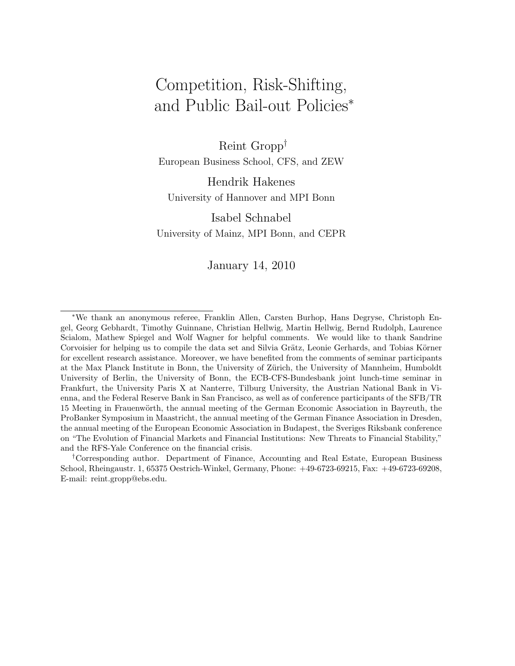### Competition, Risk-Shifting, and Public Bail-out Policies<sup>∗</sup>

Reint Gropp† European Business School, CFS, and ZEW

Hendrik Hakenes University of Hannover and MPI Bonn

Isabel Schnabel University of Mainz, MPI Bonn, and CEPR

January 14, 2010

†Corresponding author. Department of Finance, Accounting and Real Estate, European Business School, Rheingaustr. 1, 65375 Oestrich-Winkel, Germany, Phone: +49-6723-69215, Fax: +49-6723-69208, E-mail: reint.gropp@ebs.edu.

<sup>∗</sup>We thank an anonymous referee, Franklin Allen, Carsten Burhop, Hans Degryse, Christoph Engel, Georg Gebhardt, Timothy Guinnane, Christian Hellwig, Martin Hellwig, Bernd Rudolph, Laurence Scialom, Mathew Spiegel and Wolf Wagner for helpful comments. We would like to thank Sandrine Corvoisier for helping us to compile the data set and Silvia Grätz, Leonie Gerhards, and Tobias Körner for excellent research assistance. Moreover, we have benefited from the comments of seminar participants at the Max Planck Institute in Bonn, the University of Zürich, the University of Mannheim, Humboldt University of Berlin, the University of Bonn, the ECB-CFS-Bundesbank joint lunch-time seminar in Frankfurt, the University Paris X at Nanterre, Tilburg University, the Austrian National Bank in Vienna, and the Federal Reserve Bank in San Francisco, as well as of conference participants of the SFB/TR 15 Meeting in Frauenwörth, the annual meeting of the German Economic Association in Bayreuth, the ProBanker Symposium in Maastricht, the annual meeting of the German Finance Association in Dresden, the annual meeting of the European Economic Association in Budapest, the Sveriges Riksbank conference on "The Evolution of Financial Markets and Financial Institutions: New Threats to Financial Stability," and the RFS-Yale Conference on the financial crisis.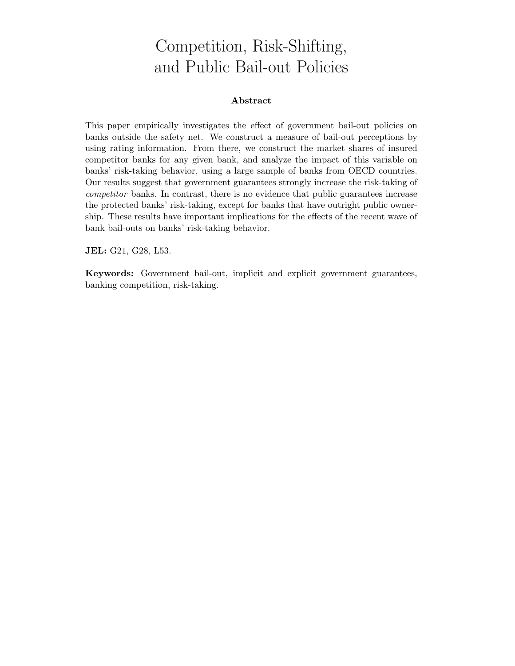### Competition, Risk-Shifting, and Public Bail-out Policies

### **Abstract**

This paper empirically investigates the effect of government bail-out policies on banks outside the safety net. We construct a measure of bail-out perceptions by using rating information. From there, we construct the market shares of insured competitor banks for any given bank, and analyze the impact of this variable on banks' risk-taking behavior, using a large sample of banks from OECD countries. Our results suggest that government guarantees strongly increase the risk-taking of *competitor* banks. In contrast, there is no evidence that public guarantees increase the protected banks' risk-taking, except for banks that have outright public ownership. These results have important implications for the effects of the recent wave of bank bail-outs on banks' risk-taking behavior.

**JEL:** G21, G28, L53.

**Keywords:** Government bail-out, implicit and explicit government guarantees, banking competition, risk-taking.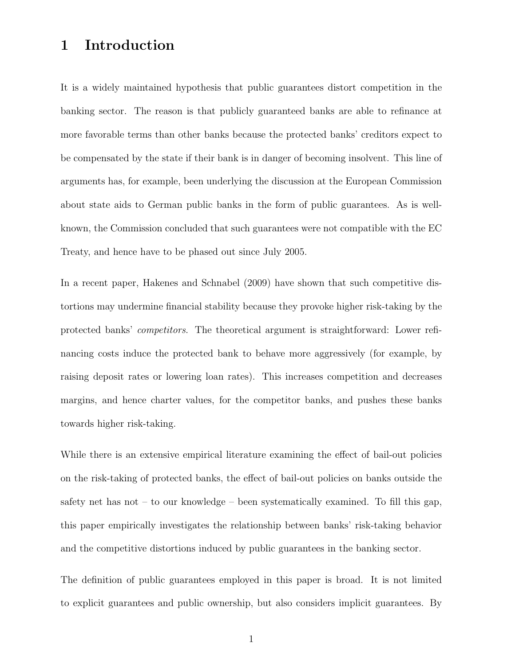### **1 Introduction**

It is a widely maintained hypothesis that public guarantees distort competition in the banking sector. The reason is that publicly guaranteed banks are able to refinance at more favorable terms than other banks because the protected banks' creditors expect to be compensated by the state if their bank is in danger of becoming insolvent. This line of arguments has, for example, been underlying the discussion at the European Commission about state aids to German public banks in the form of public guarantees. As is wellknown, the Commission concluded that such guarantees were not compatible with the EC Treaty, and hence have to be phased out since July 2005.

In a recent paper, Hakenes and Schnabel (2009) have shown that such competitive distortions may undermine financial stability because they provoke higher risk-taking by the protected banks' *competitors*. The theoretical argument is straightforward: Lower refinancing costs induce the protected bank to behave more aggressively (for example, by raising deposit rates or lowering loan rates). This increases competition and decreases margins, and hence charter values, for the competitor banks, and pushes these banks towards higher risk-taking.

While there is an extensive empirical literature examining the effect of bail-out policies on the risk-taking of protected banks, the effect of bail-out policies on banks outside the safety net has not – to our knowledge – been systematically examined. To fill this gap, this paper empirically investigates the relationship between banks' risk-taking behavior and the competitive distortions induced by public guarantees in the banking sector.

The definition of public guarantees employed in this paper is broad. It is not limited to explicit guarantees and public ownership, but also considers implicit guarantees. By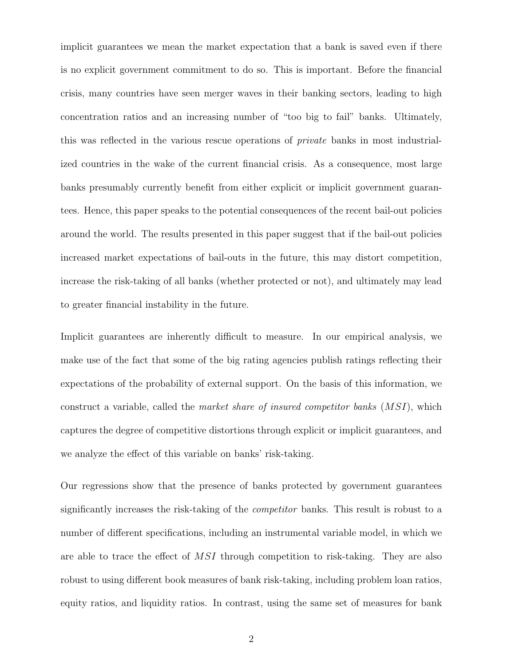implicit guarantees we mean the market expectation that a bank is saved even if there is no explicit government commitment to do so. This is important. Before the financial crisis, many countries have seen merger waves in their banking sectors, leading to high concentration ratios and an increasing number of "too big to fail" banks. Ultimately, this was reflected in the various rescue operations of *private* banks in most industrialized countries in the wake of the current financial crisis. As a consequence, most large banks presumably currently benefit from either explicit or implicit government guarantees. Hence, this paper speaks to the potential consequences of the recent bail-out policies around the world. The results presented in this paper suggest that if the bail-out policies increased market expectations of bail-outs in the future, this may distort competition, increase the risk-taking of all banks (whether protected or not), and ultimately may lead to greater financial instability in the future.

Implicit guarantees are inherently difficult to measure. In our empirical analysis, we make use of the fact that some of the big rating agencies publish ratings reflecting their expectations of the probability of external support. On the basis of this information, we construct a variable, called the *market share of insured competitor banks* (MSI), which captures the degree of competitive distortions through explicit or implicit guarantees, and we analyze the effect of this variable on banks' risk-taking.

Our regressions show that the presence of banks protected by government guarantees significantly increases the risk-taking of the *competitor* banks. This result is robust to a number of different specifications, including an instrumental variable model, in which we are able to trace the effect of MSI through competition to risk-taking. They are also robust to using different book measures of bank risk-taking, including problem loan ratios, equity ratios, and liquidity ratios. In contrast, using the same set of measures for bank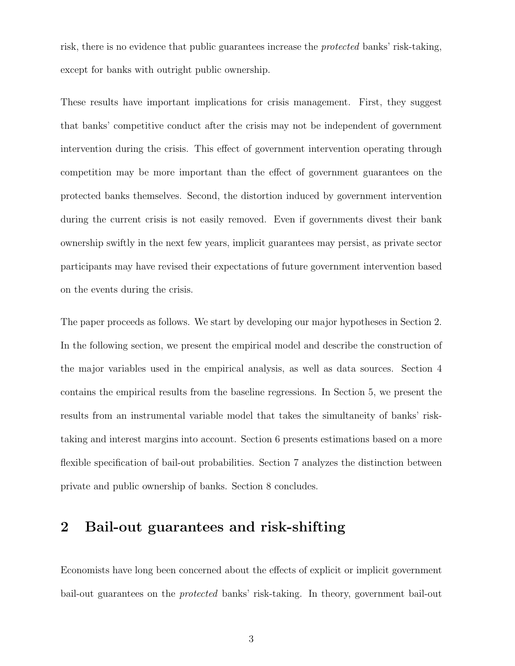risk, there is no evidence that public guarantees increase the *protected* banks' risk-taking, except for banks with outright public ownership.

These results have important implications for crisis management. First, they suggest that banks' competitive conduct after the crisis may not be independent of government intervention during the crisis. This effect of government intervention operating through competition may be more important than the effect of government guarantees on the protected banks themselves. Second, the distortion induced by government intervention during the current crisis is not easily removed. Even if governments divest their bank ownership swiftly in the next few years, implicit guarantees may persist, as private sector participants may have revised their expectations of future government intervention based on the events during the crisis.

The paper proceeds as follows. We start by developing our major hypotheses in Section 2. In the following section, we present the empirical model and describe the construction of the major variables used in the empirical analysis, as well as data sources. Section 4 contains the empirical results from the baseline regressions. In Section 5, we present the results from an instrumental variable model that takes the simultaneity of banks' risktaking and interest margins into account. Section 6 presents estimations based on a more flexible specification of bail-out probabilities. Section 7 analyzes the distinction between private and public ownership of banks. Section 8 concludes.

### **2 Bail-out guarantees and risk-shifting**

Economists have long been concerned about the effects of explicit or implicit government bail-out guarantees on the *protected* banks' risk-taking. In theory, government bail-out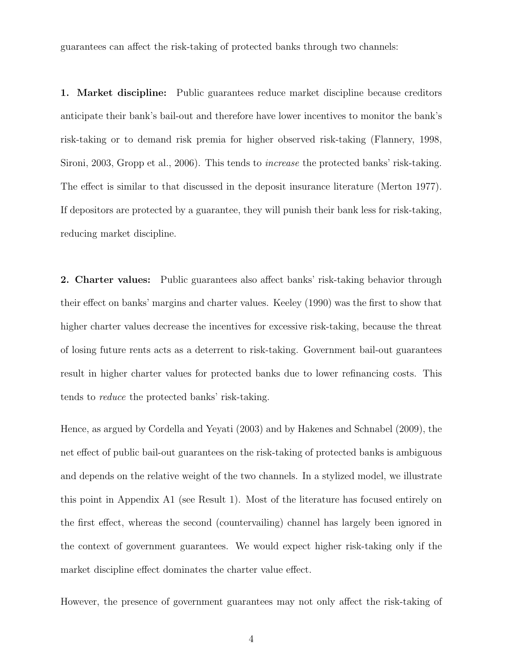guarantees can affect the risk-taking of protected banks through two channels:

**1. Market discipline:** Public guarantees reduce market discipline because creditors anticipate their bank's bail-out and therefore have lower incentives to monitor the bank's risk-taking or to demand risk premia for higher observed risk-taking (Flannery, 1998, Sironi, 2003, Gropp et al., 2006). This tends to *increase* the protected banks' risk-taking. The effect is similar to that discussed in the deposit insurance literature (Merton 1977). If depositors are protected by a guarantee, they will punish their bank less for risk-taking, reducing market discipline.

**2. Charter values:** Public guarantees also affect banks' risk-taking behavior through their effect on banks' margins and charter values. Keeley (1990) was the first to show that higher charter values decrease the incentives for excessive risk-taking, because the threat of losing future rents acts as a deterrent to risk-taking. Government bail-out guarantees result in higher charter values for protected banks due to lower refinancing costs. This tends to *reduce* the protected banks' risk-taking.

Hence, as argued by Cordella and Yeyati (2003) and by Hakenes and Schnabel (2009), the net effect of public bail-out guarantees on the risk-taking of protected banks is ambiguous and depends on the relative weight of the two channels. In a stylized model, we illustrate this point in Appendix A1 (see Result 1). Most of the literature has focused entirely on the first effect, whereas the second (countervailing) channel has largely been ignored in the context of government guarantees. We would expect higher risk-taking only if the market discipline effect dominates the charter value effect.

However, the presence of government guarantees may not only affect the risk-taking of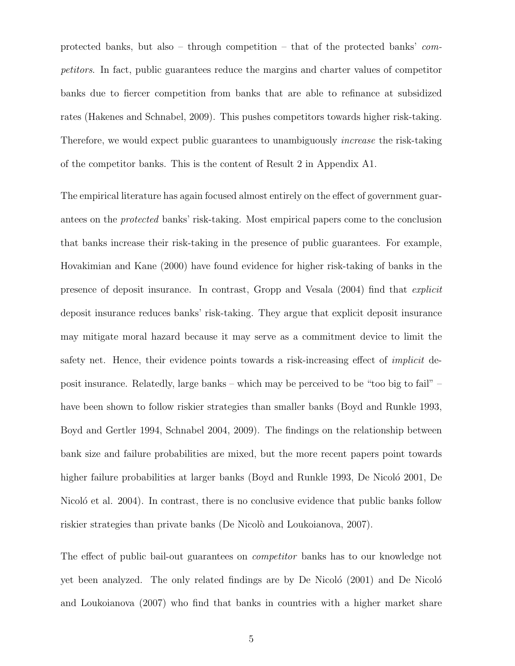protected banks, but also – through competition – that of the protected banks' *competitors*. In fact, public guarantees reduce the margins and charter values of competitor banks due to fiercer competition from banks that are able to refinance at subsidized rates (Hakenes and Schnabel, 2009). This pushes competitors towards higher risk-taking. Therefore, we would expect public guarantees to unambiguously *increase* the risk-taking of the competitor banks. This is the content of Result 2 in Appendix A1.

The empirical literature has again focused almost entirely on the effect of government guarantees on the *protected* banks' risk-taking. Most empirical papers come to the conclusion that banks increase their risk-taking in the presence of public guarantees. For example, Hovakimian and Kane (2000) have found evidence for higher risk-taking of banks in the presence of deposit insurance. In contrast, Gropp and Vesala (2004) find that *explicit* deposit insurance reduces banks' risk-taking. They argue that explicit deposit insurance may mitigate moral hazard because it may serve as a commitment device to limit the safety net. Hence, their evidence points towards a risk-increasing effect of *implicit* deposit insurance. Relatedly, large banks – which may be perceived to be "too big to fail" – have been shown to follow riskier strategies than smaller banks (Boyd and Runkle 1993, Boyd and Gertler 1994, Schnabel 2004, 2009). The findings on the relationship between bank size and failure probabilities are mixed, but the more recent papers point towards higher failure probabilities at larger banks (Boyd and Runkle 1993, De Nicoló 2001, De Nicoló et al. 2004). In contrast, there is no conclusive evidence that public banks follow riskier strategies than private banks (De Nicolò and Loukoianova, 2007).

The effect of public bail-out guarantees on *competitor* banks has to our knowledge not yet been analyzed. The only related findings are by De Nicoló  $(2001)$  and De Nicoló and Loukoianova (2007) who find that banks in countries with a higher market share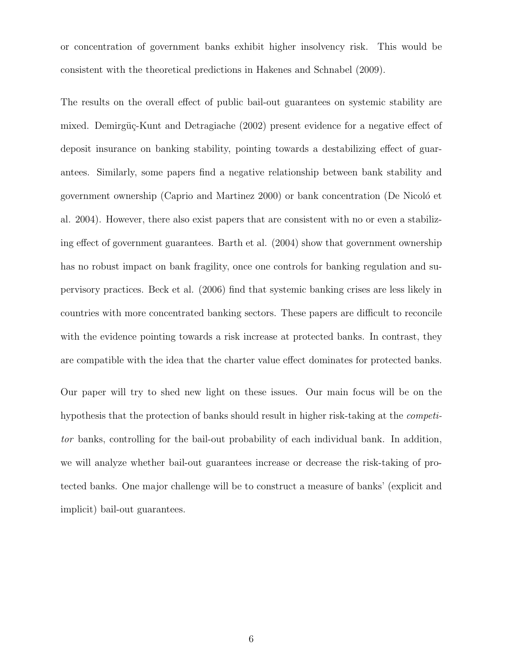or concentration of government banks exhibit higher insolvency risk. This would be consistent with the theoretical predictions in Hakenes and Schnabel (2009).

The results on the overall effect of public bail-out guarantees on systemic stability are mixed. Demirgüç-Kunt and Detragiache (2002) present evidence for a negative effect of deposit insurance on banking stability, pointing towards a destabilizing effect of guarantees. Similarly, some papers find a negative relationship between bank stability and government ownership (Caprio and Martinez 2000) or bank concentration (De Nicoló et al. 2004). However, there also exist papers that are consistent with no or even a stabilizing effect of government guarantees. Barth et al. (2004) show that government ownership has no robust impact on bank fragility, once one controls for banking regulation and supervisory practices. Beck et al. (2006) find that systemic banking crises are less likely in countries with more concentrated banking sectors. These papers are difficult to reconcile with the evidence pointing towards a risk increase at protected banks. In contrast, they are compatible with the idea that the charter value effect dominates for protected banks.

Our paper will try to shed new light on these issues. Our main focus will be on the hypothesis that the protection of banks should result in higher risk-taking at the *competitor* banks, controlling for the bail-out probability of each individual bank. In addition, we will analyze whether bail-out guarantees increase or decrease the risk-taking of protected banks. One major challenge will be to construct a measure of banks' (explicit and implicit) bail-out guarantees.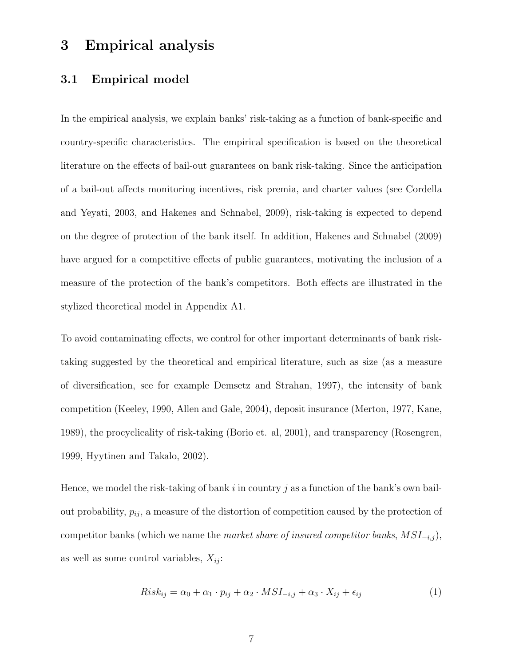### **3 Empirical analysis**

### **3.1 Empirical model**

In the empirical analysis, we explain banks' risk-taking as a function of bank-specific and country-specific characteristics. The empirical specification is based on the theoretical literature on the effects of bail-out guarantees on bank risk-taking. Since the anticipation of a bail-out affects monitoring incentives, risk premia, and charter values (see Cordella and Yeyati, 2003, and Hakenes and Schnabel, 2009), risk-taking is expected to depend on the degree of protection of the bank itself. In addition, Hakenes and Schnabel (2009) have argued for a competitive effects of public guarantees, motivating the inclusion of a measure of the protection of the bank's competitors. Both effects are illustrated in the stylized theoretical model in Appendix A1.

To avoid contaminating effects, we control for other important determinants of bank risktaking suggested by the theoretical and empirical literature, such as size (as a measure of diversification, see for example Demsetz and Strahan, 1997), the intensity of bank competition (Keeley, 1990, Allen and Gale, 2004), deposit insurance (Merton, 1977, Kane, 1989), the procyclicality of risk-taking (Borio et. al, 2001), and transparency (Rosengren, 1999, Hyytinen and Takalo, 2002).

Hence, we model the risk-taking of bank i in country j as a function of the bank's own bailout probability,  $p_{ij}$ , a measure of the distortion of competition caused by the protection of competitor banks (which we name the *market share of insured competitor banks*, MSI−i,j ), as well as some control variables,  $X_{ij}$ :

$$
Risk_{ij} = \alpha_0 + \alpha_1 \cdot p_{ij} + \alpha_2 \cdot MSI_{-i,j} + \alpha_3 \cdot X_{ij} + \epsilon_{ij}
$$
\n<sup>(1)</sup>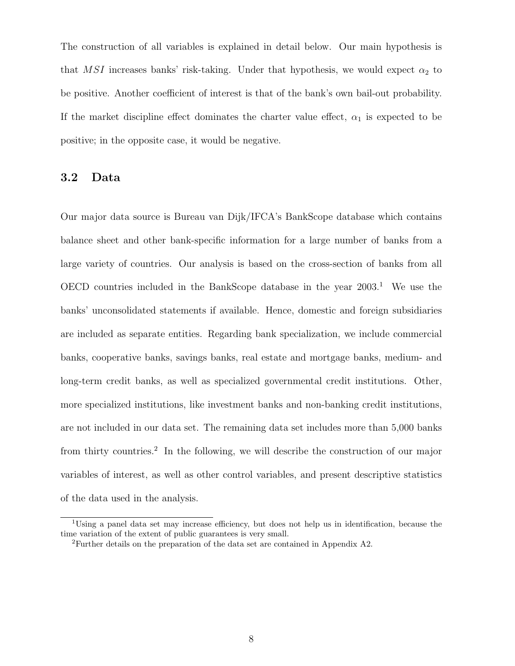The construction of all variables is explained in detail below. Our main hypothesis is that MSI increases banks' risk-taking. Under that hypothesis, we would expect  $\alpha_2$  to be positive. Another coefficient of interest is that of the bank's own bail-out probability. If the market discipline effect dominates the charter value effect,  $\alpha_1$  is expected to be positive; in the opposite case, it would be negative.

### **3.2 Data**

Our major data source is Bureau van Dijk/IFCA's BankScope database which contains balance sheet and other bank-specific information for a large number of banks from a large variety of countries. Our analysis is based on the cross-section of banks from all OECD countries included in the BankScope database in the year  $2003<sup>1</sup>$ . We use the banks' unconsolidated statements if available. Hence, domestic and foreign subsidiaries are included as separate entities. Regarding bank specialization, we include commercial banks, cooperative banks, savings banks, real estate and mortgage banks, medium- and long-term credit banks, as well as specialized governmental credit institutions. Other, more specialized institutions, like investment banks and non-banking credit institutions, are not included in our data set. The remaining data set includes more than 5,000 banks from thirty countries.<sup>2</sup> In the following, we will describe the construction of our major variables of interest, as well as other control variables, and present descriptive statistics of the data used in the analysis.

<sup>1</sup>Using a panel data set may increase efficiency, but does not help us in identification, because the time variation of the extent of public guarantees is very small.

<sup>2</sup>Further details on the preparation of the data set are contained in Appendix A2.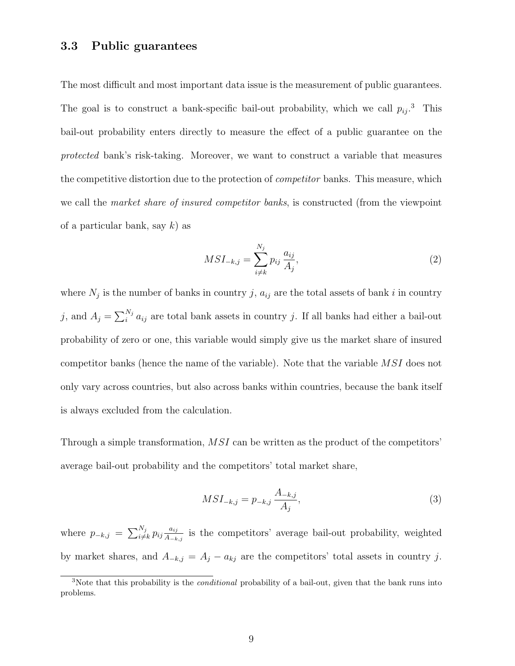### **3.3 Public guarantees**

The most difficult and most important data issue is the measurement of public guarantees. The goal is to construct a bank-specific bail-out probability, which we call  $p_{ij}$ <sup>3</sup>. This bail-out probability enters directly to measure the effect of a public guarantee on the *protected* bank's risk-taking. Moreover, we want to construct a variable that measures the competitive distortion due to the protection of *competitor* banks. This measure, which we call the *market share of insured competitor banks*, is constructed (from the viewpoint of a particular bank, say  $k$ ) as

$$
MSI_{-k,j} = \sum_{i \neq k}^{N_j} p_{ij} \frac{a_{ij}}{A_j},
$$
\n(2)

where  $N_j$  is the number of banks in country j,  $a_{ij}$  are the total assets of bank i in country j, and  $A_j = \sum_i^{N_j} a_{ij}$  are total bank assets in country j. If all banks had either a bail-out probability of zero or one, this variable would simply give us the market share of insured competitor banks (hence the name of the variable). Note that the variable MSI does not only vary across countries, but also across banks within countries, because the bank itself is always excluded from the calculation.

Through a simple transformation, MSI can be written as the product of the competitors' average bail-out probability and the competitors' total market share,

$$
MSI_{-k,j} = p_{-k,j} \frac{A_{-k,j}}{A_j},\tag{3}
$$

where  $p_{-k,j} = \sum_{i \neq k}^{N_j} p_{ij} \frac{a_{ij}}{A_{-k,j}}$  is the competitors' average bail-out probability, weighted by market shares, and  $A_{-k,j} = A_j - a_{kj}$  are the competitors' total assets in country j.

<sup>3</sup>Note that this probability is the *conditional* probability of a bail-out, given that the bank runs into problems.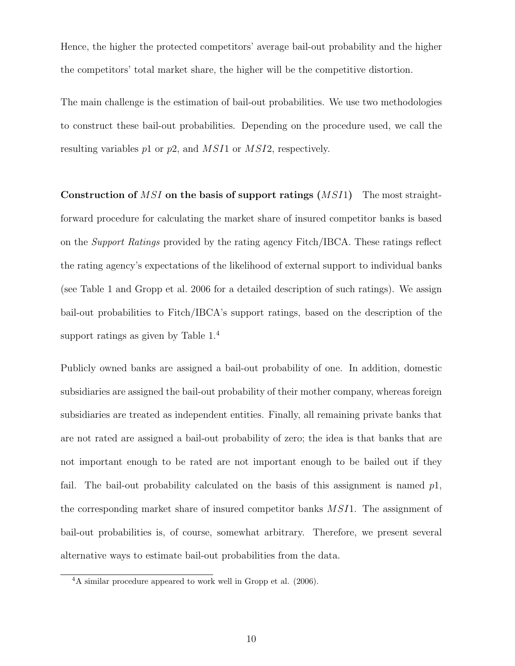Hence, the higher the protected competitors' average bail-out probability and the higher the competitors' total market share, the higher will be the competitive distortion.

The main challenge is the estimation of bail-out probabilities. We use two methodologies to construct these bail-out probabilities. Depending on the procedure used, we call the resulting variables p1 or p2, and MSI1 or MSI2, respectively.

**Construction of** MSI **on the basis of support ratings (**MSI1**)** The most straightforward procedure for calculating the market share of insured competitor banks is based on the *Support Ratings* provided by the rating agency Fitch/IBCA. These ratings reflect the rating agency's expectations of the likelihood of external support to individual banks (see Table 1 and Gropp et al. 2006 for a detailed description of such ratings). We assign bail-out probabilities to Fitch/IBCA's support ratings, based on the description of the support ratings as given by Table  $1<sup>4</sup>$ 

Publicly owned banks are assigned a bail-out probability of one. In addition, domestic subsidiaries are assigned the bail-out probability of their mother company, whereas foreign subsidiaries are treated as independent entities. Finally, all remaining private banks that are not rated are assigned a bail-out probability of zero; the idea is that banks that are not important enough to be rated are not important enough to be bailed out if they fail. The bail-out probability calculated on the basis of this assignment is named  $p_1$ , the corresponding market share of insured competitor banks MSI1. The assignment of bail-out probabilities is, of course, somewhat arbitrary. Therefore, we present several alternative ways to estimate bail-out probabilities from the data.

<sup>4</sup>A similar procedure appeared to work well in Gropp et al. (2006).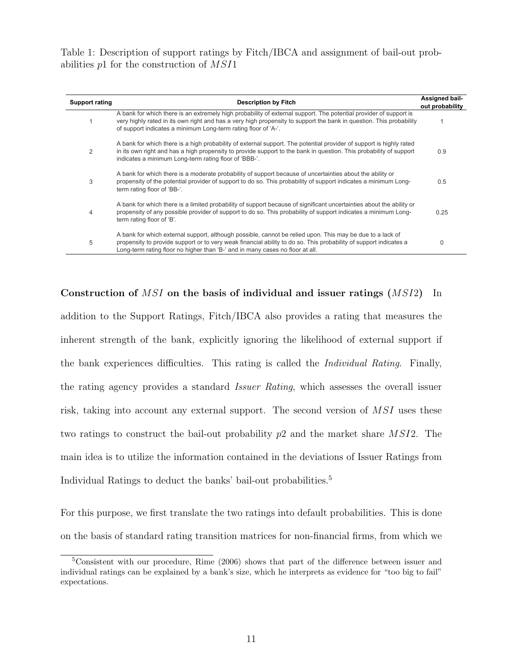Table 1: Description of support ratings by Fitch/IBCA and assignment of bail-out probabilities p1 for the construction of MSI1

| <b>Support rating</b> | <b>Description by Fitch</b>                                                                                                                                                                                                                                                                                     | Assigned bail-<br>out probability |
|-----------------------|-----------------------------------------------------------------------------------------------------------------------------------------------------------------------------------------------------------------------------------------------------------------------------------------------------------------|-----------------------------------|
|                       | A bank for which there is an extremely high probability of external support. The potential provider of support is<br>very highly rated in its own right and has a very high propensity to support the bank in question. This probability<br>of support indicates a minimum Long-term rating floor of 'A-'.      |                                   |
| 2                     | A bank for which there is a high probability of external support. The potential provider of support is highly rated<br>in its own right and has a high propensity to provide support to the bank in question. This probability of support<br>indicates a minimum Long-term rating floor of 'BBB-'.              | 0.9                               |
| 3                     | A bank for which there is a moderate probability of support because of uncertainties about the ability or<br>propensity of the potential provider of support to do so. This probability of support indicates a minimum Long-<br>term rating floor of 'BB-'.                                                     | 0.5                               |
| 4                     | A bank for which there is a limited probability of support because of significant uncertainties about the ability or<br>propensity of any possible provider of support to do so. This probability of support indicates a minimum Long-<br>term rating floor of 'B'.                                             | 0.25                              |
| 5                     | A bank for which external support, although possible, cannot be relied upon. This may be due to a lack of<br>propensity to provide support or to very weak financial ability to do so. This probability of support indicates a<br>Long-term rating floor no higher than 'B-' and in many cases no floor at all. | $\Omega$                          |

**Construction of** MSI **on the basis of individual and issuer ratings (**MSI2**)** In addition to the Support Ratings, Fitch/IBCA also provides a rating that measures the inherent strength of the bank, explicitly ignoring the likelihood of external support if the bank experiences difficulties. This rating is called the *Individual Rating*. Finally, the rating agency provides a standard *Issuer Rating*, which assesses the overall issuer risk, taking into account any external support. The second version of MSI uses these two ratings to construct the bail-out probability  $p2$  and the market share MSI2. The main idea is to utilize the information contained in the deviations of Issuer Ratings from Individual Ratings to deduct the banks' bail-out probabilities.<sup>5</sup>

For this purpose, we first translate the two ratings into default probabilities. This is done on the basis of standard rating transition matrices for non-financial firms, from which we

<sup>5</sup>Consistent with our procedure, Rime (2006) shows that part of the difference between issuer and individual ratings can be explained by a bank's size, which he interprets as evidence for "too big to fail" expectations.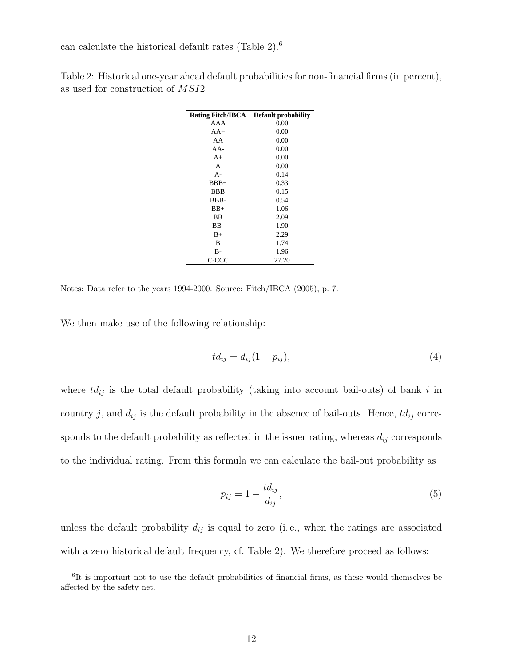can calculate the historical default rates (Table 2).<sup>6</sup>

| <b>Rating Fitch/IBCA</b> | <b>Default probability</b> |
|--------------------------|----------------------------|
| AAA                      | 0.00                       |
| $AA+$                    | 0.00                       |
| AA                       | 0.00                       |
| AA-                      | 0.00                       |
| $A+$                     | 0.00                       |
| A                        | 0.00                       |
| $A -$                    | 0.14                       |
| $BBB+$                   | 0.33                       |
| <b>BBB</b>               | 0.15                       |
| BBB-                     | 0.54                       |
| $BB+$                    | 1.06                       |
| <b>BB</b>                | 2.09                       |
| BB-                      | 1.90                       |
| $B+$                     | 2.29                       |
| B                        | 1.74                       |
| $B -$                    | 1.96                       |
| C-CCC                    | 27.20                      |

Table 2: Historical one-year ahead default probabilities for non-financial firms (in percent), as used for construction of MSI2

Notes: Data refer to the years 1994-2000. Source: Fitch/IBCA (2005), p. 7.

We then make use of the following relationship:

$$
td_{ij} = d_{ij}(1 - p_{ij}),
$$
\n<sup>(4)</sup>

where  $td_{ij}$  is the total default probability (taking into account bail-outs) of bank i in country j, and  $d_{ij}$  is the default probability in the absence of bail-outs. Hence,  $td_{ij}$  corresponds to the default probability as reflected in the issuer rating, whereas  $d_{ij}$  corresponds to the individual rating. From this formula we can calculate the bail-out probability as

$$
p_{ij} = 1 - \frac{td_{ij}}{d_{ij}},\tag{5}
$$

unless the default probability  $d_{ij}$  is equal to zero (i.e., when the ratings are associated with a zero historical default frequency, cf. Table 2). We therefore proceed as follows:

<sup>&</sup>lt;sup>6</sup>It is important not to use the default probabilities of financial firms, as these would themselves be affected by the safety net.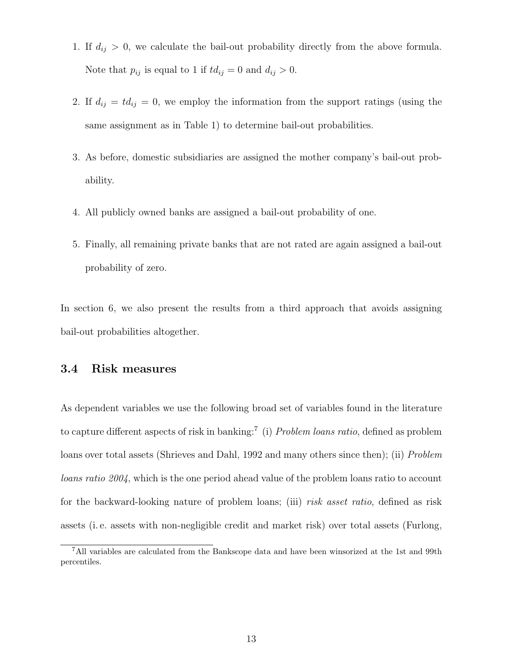- 1. If  $d_{ij} > 0$ , we calculate the bail-out probability directly from the above formula. Note that  $p_{ij}$  is equal to 1 if  $td_{ij} = 0$  and  $d_{ij} > 0$ .
- 2. If  $d_{ij} = td_{ij} = 0$ , we employ the information from the support ratings (using the same assignment as in Table 1) to determine bail-out probabilities.
- 3. As before, domestic subsidiaries are assigned the mother company's bail-out probability.
- 4. All publicly owned banks are assigned a bail-out probability of one.
- 5. Finally, all remaining private banks that are not rated are again assigned a bail-out probability of zero.

In section 6, we also present the results from a third approach that avoids assigning bail-out probabilities altogether.

### **3.4 Risk measures**

As dependent variables we use the following broad set of variables found in the literature to capture different aspects of risk in banking:<sup>7</sup> (i) *Problem loans ratio*, defined as problem loans over total assets (Shrieves and Dahl, 1992 and many others since then); (ii) *Problem loans ratio 2004*, which is the one period ahead value of the problem loans ratio to account for the backward-looking nature of problem loans; (iii) *risk asset ratio*, defined as risk assets (i. e. assets with non-negligible credit and market risk) over total assets (Furlong,

<sup>7</sup>All variables are calculated from the Bankscope data and have been winsorized at the 1st and 99th percentiles.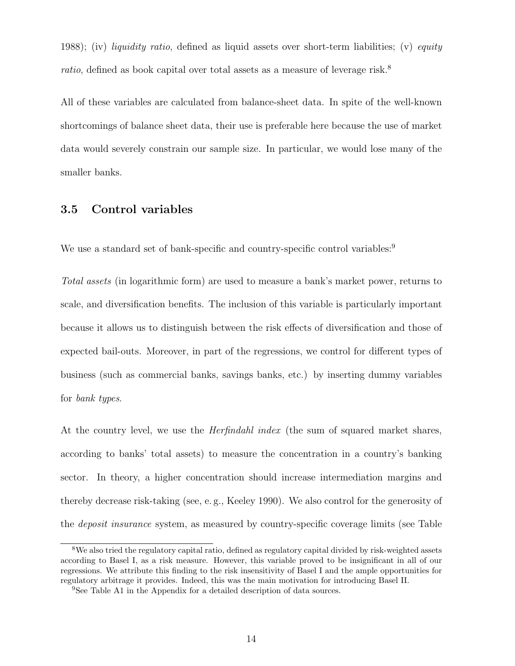1988); (iv) *liquidity ratio*, defined as liquid assets over short-term liabilities; (v) *equity ratio*, defined as book capital over total assets as a measure of leverage risk.<sup>8</sup>

All of these variables are calculated from balance-sheet data. In spite of the well-known shortcomings of balance sheet data, their use is preferable here because the use of market data would severely constrain our sample size. In particular, we would lose many of the smaller banks.

### **3.5 Control variables**

We use a standard set of bank-specific and country-specific control variables:<sup>9</sup>

*Total assets* (in logarithmic form) are used to measure a bank's market power, returns to scale, and diversification benefits. The inclusion of this variable is particularly important because it allows us to distinguish between the risk effects of diversification and those of expected bail-outs. Moreover, in part of the regressions, we control for different types of business (such as commercial banks, savings banks, etc.) by inserting dummy variables for *bank types*.

At the country level, we use the *Herfindahl index* (the sum of squared market shares, according to banks' total assets) to measure the concentration in a country's banking sector. In theory, a higher concentration should increase intermediation margins and thereby decrease risk-taking (see, e. g., Keeley 1990). We also control for the generosity of the *deposit insurance* system, as measured by country-specific coverage limits (see Table

<sup>8</sup>We also tried the regulatory capital ratio, defined as regulatory capital divided by risk-weighted assets according to Basel I, as a risk measure. However, this variable proved to be insignificant in all of our regressions. We attribute this finding to the risk insensitivity of Basel I and the ample opportunities for regulatory arbitrage it provides. Indeed, this was the main motivation for introducing Basel II.

<sup>&</sup>lt;sup>9</sup>See Table A1 in the Appendix for a detailed description of data sources.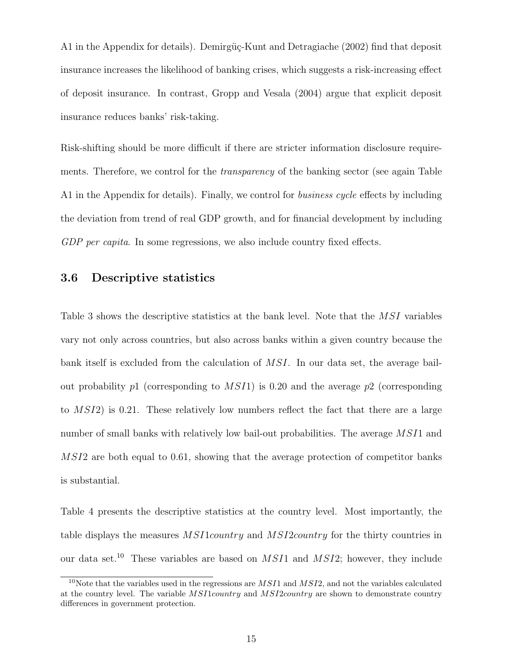A1 in the Appendix for details). Demirgüç-Kunt and Detragiache (2002) find that deposit insurance increases the likelihood of banking crises, which suggests a risk-increasing effect of deposit insurance. In contrast, Gropp and Vesala (2004) argue that explicit deposit insurance reduces banks' risk-taking.

Risk-shifting should be more difficult if there are stricter information disclosure requirements. Therefore, we control for the *transparency* of the banking sector (see again Table A1 in the Appendix for details). Finally, we control for *business cycle* effects by including the deviation from trend of real GDP growth, and for financial development by including *GDP per capita*. In some regressions, we also include country fixed effects.

### **3.6 Descriptive statistics**

Table 3 shows the descriptive statistics at the bank level. Note that the MSI variables vary not only across countries, but also across banks within a given country because the bank itself is excluded from the calculation of MSI. In our data set, the average bailout probability p1 (corresponding to  $MSI1$ ) is 0.20 and the average p2 (corresponding to MSI2) is 0.21. These relatively low numbers reflect the fact that there are a large number of small banks with relatively low bail-out probabilities. The average  $MSI1$  and MSI2 are both equal to 0.61, showing that the average protection of competitor banks is substantial.

Table 4 presents the descriptive statistics at the country level. Most importantly, the table displays the measures MSI1country and MSI2country for the thirty countries in our data set.<sup>10</sup> These variables are based on  $MSI1$  and  $MSI2$ ; however, they include

<sup>10</sup>Note that the variables used in the regressions are *MSI*1 and *MSI*2, and not the variables calculated at the country level. The variable *MSI*1*country* and *MSI*2*country* are shown to demonstrate country differences in government protection.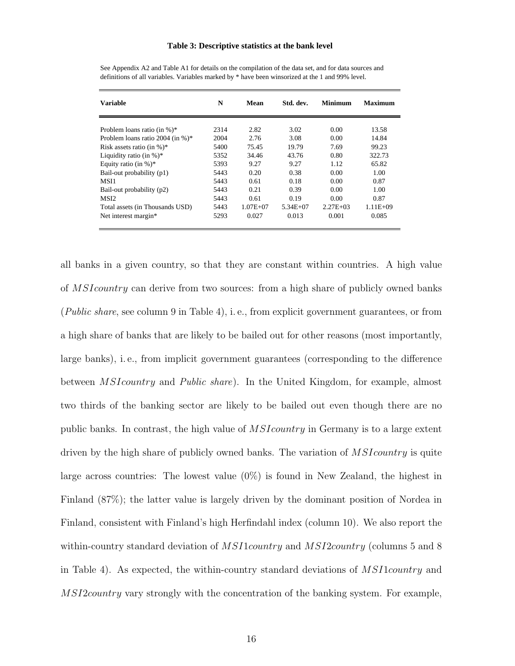### **Table 3: Descriptive statistics at the bank level**

| <b>Variable</b>                  | N    | Mean         | Std. dev.    | Minimum       | <b>Maximum</b> |
|----------------------------------|------|--------------|--------------|---------------|----------------|
|                                  |      |              |              |               |                |
| Problem loans ratio (in $\%$ )*  | 2314 | 2.82         | 3.02         | 0.00          | 13.58          |
| Problem loans ratio 2004 (in %)* | 2004 | 2.76         | 3.08         | 0.00          | 14.84          |
| Risk assets ratio (in $\%$ )*    | 5400 | 75.45        | 19.79        | 7.69          | 99.23          |
| Liquidity ratio (in $\%$ )*      | 5352 | 34.46        | 43.76        | 0.80          | 322.73         |
| Equity ratio (in $\%$ )*         | 5393 | 9.27         | 9.27         | 1.12          | 65.82          |
| Bail-out probability (p1)        | 5443 | 0.20         | 0.38         | 0.00          | 1.00           |
| MSI1                             | 5443 | 0.61         | 0.18         | 0.00          | 0.87           |
| Bail-out probability (p2)        | 5443 | 0.21         | 0.39         | 0.00          | 1.00           |
| MS <sub>I2</sub>                 | 5443 | 0.61         | 0.19         | 0.00          | 0.87           |
| Total assets (in Thousands USD)  | 5443 | $1.07E + 07$ | $5.34E + 07$ | $2.27E + 0.3$ | $1.11E + 09$   |
| Net interest margin*             | 5293 | 0.027        | 0.013        | 0.001         | 0.085          |

See Appendix A2 and Table A1 for details on the compilation of the data set, and for data sources and definitions of all variables. Variables marked by \* have been winsorized at the 1 and 99% level.

all banks in a given country, so that they are constant within countries. A high value of MSIcountry can derive from two sources: from a high share of publicly owned banks (*Public share*, see column 9 in Table 4), i. e., from explicit government guarantees, or from a high share of banks that are likely to be bailed out for other reasons (most importantly, large banks), i. e., from implicit government guarantees (corresponding to the difference between MSIcountry and *Public share*). In the United Kingdom, for example, almost two thirds of the banking sector are likely to be bailed out even though there are no public banks. In contrast, the high value of MSIcountry in Germany is to a large extent driven by the high share of publicly owned banks. The variation of *MSIcountry* is quite large across countries: The lowest value  $(0\%)$  is found in New Zealand, the highest in Finland (87%); the latter value is largely driven by the dominant position of Nordea in Finland, consistent with Finland's high Herfindahl index (column 10). We also report the within-country standard deviation of *MSI1country* and *MSI2country* (columns 5 and 8) in Table 4). As expected, the within-country standard deviations of MSI1country and MSI2country vary strongly with the concentration of the banking system. For example,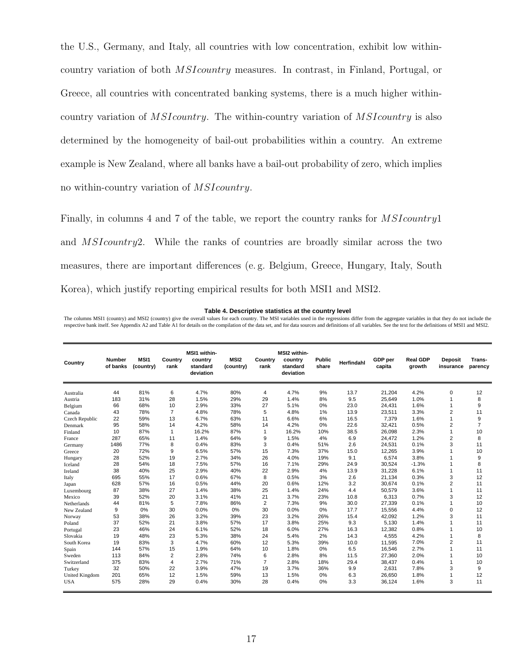the U.S., Germany, and Italy, all countries with low concentration, exhibit low withincountry variation of both MSIcountry measures. In contrast, in Finland, Portugal, or Greece, all countries with concentrated banking systems, there is a much higher withincountry variation of MSIcountry. The within-country variation of MSIcountry is also determined by the homogeneity of bail-out probabilities within a country. An extreme example is New Zealand, where all banks have a bail-out probability of zero, which implies no within-country variation of MSIcountry.

Finally, in columns 4 and 7 of the table, we report the country ranks for MSIcountry1 and MSIcountry2. While the ranks of countries are broadly similar across the two measures, there are important differences (e. g. Belgium, Greece, Hungary, Italy, South Korea), which justify reporting empirical results for both MSI1 and MSI2.

### **Table 4. Descriptive statistics at the country level**

The columns MSI1 (country) and MSI2 (country) give the overall values for each country. The MSI variables used in the regressions differ from the aggregate variables in that they do not include the respective bank itself. See Appendix A2 and Table A1 for details on the compilation of the data set, and for data sources and definitions of all variables. See the text for the definitions of MSI1 and MSI2.

| Country        | <b>Number</b><br>of banks | MSI1<br>(country) | Country<br>rank | <b>MSI1 within-</b><br>country<br>standard<br>deviation | MSI <sub>2</sub><br>(country) | Country<br>rank | MSI2 within-<br>country<br>standard<br>deviation | <b>Public</b><br>share | Herfindahl | GDP per<br>capita | <b>Real GDP</b><br>arowth | <b>Deposit</b><br>insurance | Trans-<br>parency |
|----------------|---------------------------|-------------------|-----------------|---------------------------------------------------------|-------------------------------|-----------------|--------------------------------------------------|------------------------|------------|-------------------|---------------------------|-----------------------------|-------------------|
| Australia      | 44                        | 81%               | 6               | 4.7%                                                    | 80%                           | 4               | 4.7%                                             | 9%                     | 13.7       | 21,204            | 4.2%                      | $\Omega$                    | 12                |
| Austria        | 183                       | 31%               | 28              | 1.5%                                                    | 29%                           | 29              | 1.4%                                             | 8%                     | 9.5        | 25,649            | 1.0%                      | 1                           | 8                 |
| Belgium        | 66                        | 68%               | 10              | 2.9%                                                    | 33%                           | 27              | 5.1%                                             | 0%                     | 23.0       | 24,431            | 1.6%                      | 1                           | 9                 |
| Canada         | 43                        | 78%               | $\overline{7}$  | 4.8%                                                    | 78%                           | 5               | 4.8%                                             | 1%                     | 13.9       | 23,511            | 3.3%                      | $\overline{2}$              | 11                |
| Czech Republic | 22                        | 59%               | 13              | 6.7%                                                    | 63%                           | 11              | 6.6%                                             | 6%                     | 16.5       | 7,379             | 1.6%                      | 1                           | 9                 |
| Denmark        | 95                        | 58%               | 14              | 4.2%                                                    | 58%                           | 14              | 4.2%                                             | 0%                     | 22.6       | 32,421            | 0.5%                      | $\overline{2}$              | $\overline{7}$    |
| Finland        | 10                        | 87%               | 1               | 16.2%                                                   | 87%                           | 1               | 16.2%                                            | 10%                    | 38.5       | 26,098            | 2.3%                      | 1                           | 10                |
| France         | 287                       | 65%               | 11              | 1.4%                                                    | 64%                           | 9               | 1.5%                                             | 4%                     | 6.9        | 24,472            | 1.2%                      | $\overline{2}$              | 8                 |
| Germany        | 1486                      | 77%               | 8               | 0.4%                                                    | 83%                           | 3               | 0.4%                                             | 51%                    | 2.6        | 24,531            | 0.1%                      | 3                           | 11                |
| Greece         | 20                        | 72%               | 9               | 6.5%                                                    | 57%                           | 15              | 7.3%                                             | 37%                    | 15.0       | 12,265            | 3.9%                      |                             | 10                |
| Hungary        | 28                        | 52%               | 19              | 2.7%                                                    | 34%                           | 26              | 4.0%                                             | 19%                    | 9.1        | 6,574             | 3.8%                      |                             | 9                 |
| Iceland        | 28                        | 54%               | 18              | 7.5%                                                    | 57%                           | 16              | 7.1%                                             | 29%                    | 24.9       | 30,524            | $-1.3%$                   |                             | 8                 |
| Ireland        | 38                        | 40%               | 25              | 2.9%                                                    | 40%                           | 22              | 2.9%                                             | 4%                     | 13.9       | 31,228            | 6.1%                      | 1                           | 11                |
| Italy          | 695                       | 55%               | 17              | 0.6%                                                    | 67%                           | 8               | 0.5%                                             | 3%                     | 2.6        | 21,134            | 0.3%                      | 3                           | 12                |
| Japan          | 628                       | 57%               | 16              | 0.5%                                                    | 44%                           | 20              | 0.6%                                             | 12%                    | 3.2        | 30,674            | 0.1%                      | $\overline{2}$              | 11                |
| Luxembourg     | 87                        | 38%               | 27              | 1.4%                                                    | 38%                           | 25              | 1.4%                                             | 24%                    | 4.4        | 50,579            | 3.6%                      | 1                           | 11                |
| Mexico         | 39                        | 52%               | 20              | 3.1%                                                    | 41%                           | 21              | 3.7%                                             | 23%                    | 10.8       | 6,313             | 0.7%                      | 3                           | 12                |
| Netherlands    | 44                        | 81%               | 5               | 7.8%                                                    | 86%                           | 2               | 7.3%                                             | 9%                     | 30.0       | 27,339            | 0.1%                      | 1                           | 10                |
| New Zealand    | 9                         | 0%                | 30              | 0.0%                                                    | 0%                            | 30              | 0.0%                                             | 0%                     | 17.7       | 15,556            | 4.4%                      | $\mathbf 0$                 | 12                |
| Norway         | 53                        | 38%               | 26              | 3.2%                                                    | 39%                           | 23              | 3.2%                                             | 26%                    | 15.4       | 42,092            | 1.2%                      | 3                           | 11                |
| Poland         | 37                        | 52%               | 21              | 3.8%                                                    | 57%                           | 17              | 3.8%                                             | 25%                    | 9.3        | 5,130             | 1.4%                      | 1                           | 11                |
| Portugal       | 23                        | 46%               | 24              | 6.1%                                                    | 52%                           | 18              | 6.0%                                             | 27%                    | 16.3       | 12,382            | 0.8%                      | 1                           | 10                |
| Slovakia       | 19                        | 48%               | 23              | 5.3%                                                    | 38%                           | 24              | 5.4%                                             | 2%                     | 14.3       | 4.555             | 4.2%                      | 1                           | 8                 |
| South Korea    | 19                        | 83%               | 3               | 4.7%                                                    | 60%                           | 12              | 5.3%                                             | 39%                    | 10.0       | 11,595            | 7.0%                      | $\overline{2}$              | 11                |
| Spain          | 144                       | 57%               | 15              | 1.9%                                                    | 64%                           | 10              | 1.8%                                             | 0%                     | 6.5        | 16,546            | 2.7%                      | 1                           | 11                |
| Sweden         | 113                       | 84%               | 2               | 2.8%                                                    | 74%                           | 6               | 2.8%                                             | 8%                     | 11.5       | 27,360            | 2.0%                      | 1                           | 10                |
| Switzerland    | 375                       | 83%               | 4               | 2.7%                                                    | 71%                           | $\overline{7}$  | 2.8%                                             | 18%                    | 29.4       | 38,437            | 0.4%                      | 1                           | 10                |
| Turkey         | 32                        | 50%               | 22              | 3.9%                                                    | 47%                           | 19              | 3.7%                                             | 36%                    | 9.9        | 2,631             | 7.8%                      | 3                           | 9                 |
| United Kingdom | 201                       | 65%               | 12              | 1.5%                                                    | 59%                           | 13              | 1.5%                                             | 0%                     | 6.3        | 26,650            | 1.8%                      | 1                           | 12                |
| <b>USA</b>     | 575                       | 28%               | 29              | 0.4%                                                    | 30%                           | 28              | 0.4%                                             | 0%                     | 3.3        | 36,124            | 1.6%                      | 3                           | 11                |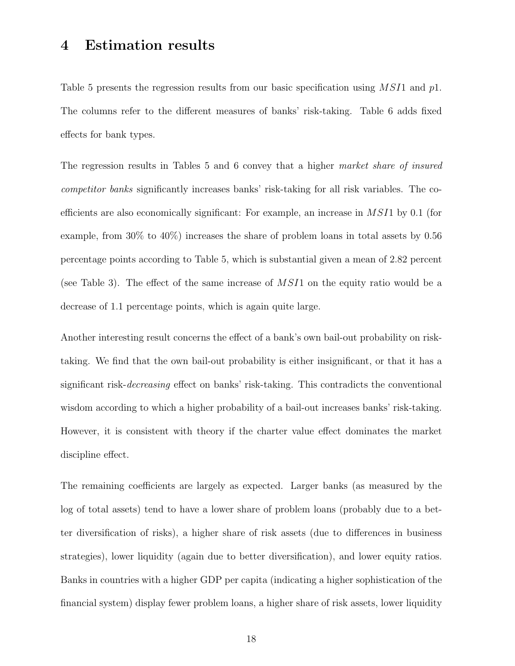### **4 Estimation results**

Table 5 presents the regression results from our basic specification using  $MSI1$  and  $p1$ . The columns refer to the different measures of banks' risk-taking. Table 6 adds fixed effects for bank types.

The regression results in Tables 5 and 6 convey that a higher *market share of insured competitor banks* significantly increases banks' risk-taking for all risk variables. The coefficients are also economically significant: For example, an increase in MSI1 by 0.1 (for example, from 30% to 40%) increases the share of problem loans in total assets by 0.56 percentage points according to Table 5, which is substantial given a mean of 2.82 percent (see Table 3). The effect of the same increase of  $MSI1$  on the equity ratio would be a decrease of 1.1 percentage points, which is again quite large.

Another interesting result concerns the effect of a bank's own bail-out probability on risktaking. We find that the own bail-out probability is either insignificant, or that it has a significant risk-*decreasing* effect on banks' risk-taking. This contradicts the conventional wisdom according to which a higher probability of a bail-out increases banks' risk-taking. However, it is consistent with theory if the charter value effect dominates the market discipline effect.

The remaining coefficients are largely as expected. Larger banks (as measured by the log of total assets) tend to have a lower share of problem loans (probably due to a better diversification of risks), a higher share of risk assets (due to differences in business strategies), lower liquidity (again due to better diversification), and lower equity ratios. Banks in countries with a higher GDP per capita (indicating a higher sophistication of the financial system) display fewer problem loans, a higher share of risk assets, lower liquidity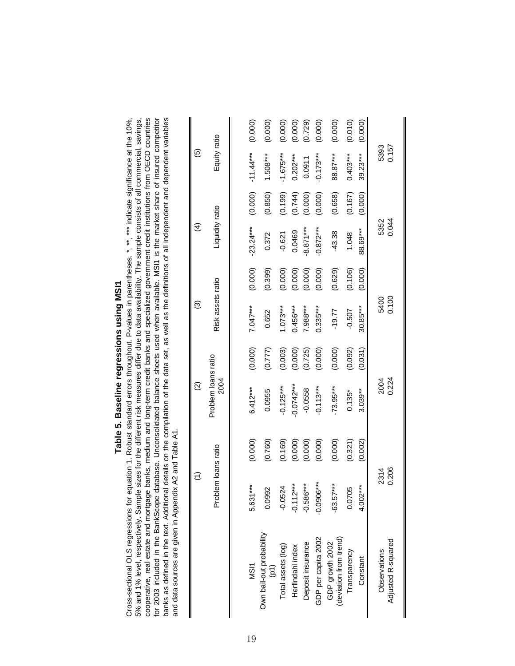| ۱<br>ı<br>ï |
|-------------|
| ı<br>١      |
| ľ<br>I<br>l |
| ׇ֚֕֡        |
|             |
|             |
|             |
|             |
|             |

cooperative, real estate and mortgage banks, medium and long-term credit banks and specialized govemment credit institutions from OECD countries<br>for 2003 included in the BankScope database. Unconsolidated balance sheets us banks as defined in the text. Additional details on the compilation of the data set, as well as the definitions of all independent and dependent variables 5% and 1% level, respectively. Sample sizes for the different risk measures differ due to data availability. The sample consists of all commercial, savings, Cross-sectional OLS regressions for equation 1. Robust standard errors throughout. P-values in parentheses. \*, \*\*, \*\*\* indicate significance at the 10%, for 2003 included in the BankScope database. Unconsolidated balance sheets used when available. MSI1 is the market share of insured competitor banks as defined in the text. Additional details on the compilation of the data set, as well as the definitions of all independent and dependent variables Cross-sectional OLS regressions for equation 1. Robust standard errors throughout. P-values in parentheses. \*, \*\*, \*\*\* indicate significance at the 10%, 5% and 1% level, respectively. Sample sizes for the different risk measures differ due to data availability. The sample consists of all commercial, savings, cooperative, real estate and mortgage banks, medium and long-term credit banks and specialized government credit institutions from OECD countries and data sources are given in Appendix A2 and Table A1. and data sources are given in Appendix A2 and Table A1.

|                                             | $\widehat{\tau}$    |         | $\widehat{\infty}$          |         | ම                 |         | $\widehat{A}$   |         | $\widehat{\mathbf{e}}$ |         |
|---------------------------------------------|---------------------|---------|-----------------------------|---------|-------------------|---------|-----------------|---------|------------------------|---------|
|                                             | Problem loans ratio |         | Problem loans ratio<br>2004 |         | Risk assets ratio |         | Liquidity ratio |         | Equity ratio           |         |
|                                             |                     |         |                             |         |                   |         |                 |         |                        |         |
| MSI1                                        | 5.631***            | (0.000) | $6.412***$                  | (0.000) | $7.047***$        | (0.000) | $-23.24***$     | (0.000) | $-11.44***$            | (0.000) |
| Own bail-out probability<br>$\widetilde{E}$ | 0.0992              | (0.760) | 0.0955                      | (0.777) | 0.652             | (0.399) | 0.372           | (0.850) | $1.508***$             | (0.000) |
| Total assets (log)                          | $-0.0524$           | (0.169) | $-0.125***$                 | (0.003) | $1.073***$        | (0.000) | $-0.621$        | (0.199) | $-1.675***$            | (0.000) |
| Herfindahl index                            | $-0.112***$         | (0.000) | $-0.0742***$                | (0.000) | $0.456***$        | (0.000) | 0.0469          | (0.744) | $0.202***$             | (0.000) |
| Deposit insurance                           | $-0.586***$         |         | $-0.0558$                   | (0.725) | $7.988***$        | (0.000) | $-8.871***$     | (0.000) | 0.0911                 | (0.729) |
| GDP per capita 2002                         | $-0.0906***$        | (0.000) | $-0.113***$                 | (0.000) | $0.335***$        | (0.000) | $-0.872***$     | (0.000) | $-0.173***$            | (0.000) |
| (deviation from trend)<br>GDP growth 2002   | $-63.57***$         | (0.000) | $-73.95***$                 | (0.000) | $-19.77$          | (0.629) | $-43.38$        | (0.658) | 88.87***               | (0.000) |
| Transparency                                | 0.0705              | (0.321) | $0.135*$                    | (0.092) | $-0.507$          | (0.106) | 1.048           | (0.167) | $0.403***$             | (0.010) |
| Constant                                    | $4.002***$          | (0.002) | $3.039***$                  | (0.031) | 30.85***          | (0.000) | 88.69***        | (0.000) | $39.23***$             | (0.000) |
| Observations                                | 2314                |         |                             |         |                   |         |                 |         |                        |         |
| Adjusted R-squared                          | 0.206               |         | 2004<br>0.224               |         | 5400<br>0.100     |         | 5352<br>0.044   |         | 5393<br>0.157          |         |

∥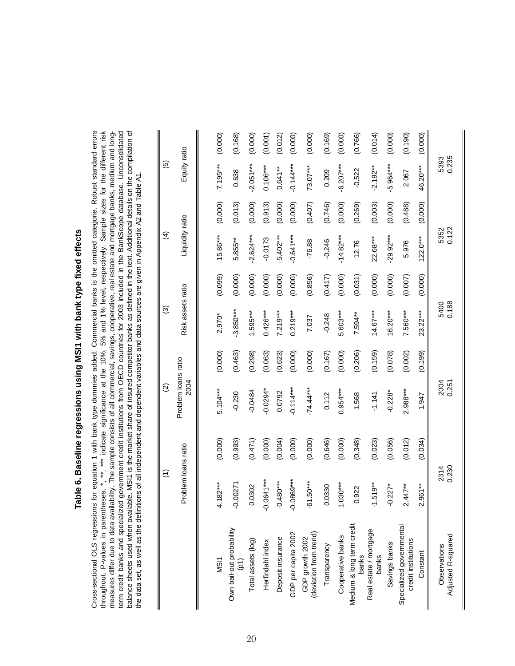### Table 6. Baseline regressions using MSI1 with bank type fixed effects **Table 6. Baseline regressions using MSI1 with bank type fixed effects**

Cross-sectional OLS regressions for equation 1 with bank type dummies added. Commercial banks is the omitted categorie. Robust standard errors throughout. P-values in parentheses. \*, \*\*\*, malicate significance at the 10%, 5% and 1% level, respectively. Sample sizes for the different risk measures differ due to data availability. The sample consists of all commercial, savings, cooperative, real estate and mortgage banks, medium and longterm credit banks and specialized government credit institutions from OECD countries for 2003 included in the BankScope database. Unconsolidated balance sheets used when available. MSI1 is the market share of insured competitor banks as defined in the text. Additional details on the compilation of Cross-sectional OLS regressions for equation 1 with bank type dummies added. Commercial banks is the omitted categorie. Robust standard errors throughout. P-values in parentheses. \*, \*\*, \*\*\* indicate significance at the 10%, 5% and 1% level, respectively. Sample sizes for the different risk measures differ due to data availability. The sample consists of all commercial, savings, cooperative, real estate and mortgage banks, medium and longterm credit banks and specialized government credit institutions from OECD countries for 2003 included in the BankScope database. Unconsolidated balance sheets used when available. MSI1 is the market share of insured competitor banks as defined in the text. Additional details on the compilation of the data set, as well as the definitions of all independent and dependent variables and data sources are given in Appendix A2 and Table A1. the data set, as well as the definitions of all independent and dependent variables and data sources are given in Appendix A2 and Table A1.

(5)  $(2)$  (2)  $(3)$  (3)  $(5)$ 

 $\widehat{\Omega}$ 

 $\widehat{\tau}$ 

 $\widehat{\mathcal{O}}$ 

 $\overline{6}$ 

 $\widehat{f}$ 

|                                                 | Problem loans ratio        |         | Problem loans ratio<br>2004 |         | Risk assets ratio |         | Liquidity ratio |         | Equity ratio  |         |
|-------------------------------------------------|----------------------------|---------|-----------------------------|---------|-------------------|---------|-----------------|---------|---------------|---------|
|                                                 |                            |         |                             |         |                   |         |                 |         |               |         |
| MSI1                                            | $4.182***$                 | (0.000) | $5.104***$                  | (0.000) | 2.970*            | (0.099) | $-15.86***$     | (0.000) | $-7.195***$   | (0.000) |
| Own bail-out probability<br>(p1)                | .00271<br>ၣ                | (0.993) | $-0.230$                    | (0.463) | $-3.850***$       | (0.000) | 5.855**         | (0.013) | 0.638         | (0.168) |
| Total assets (log)                              | 0.0302                     | (0.471) | $-0.0484$                   | (0.298) | $1.595***$        | (0.000) | $-2.624***$     | (0.000) | $-2.051***$   | (0.000) |
| Herfindahl index                                | $-0.0641***$               | (0.000) | $-0.0294*$                  | (0.063) | $0.426***$        | (0.000) | $-0.0173$       | (0.913) | $0.106***$    | (0.001) |
| Deposit insurance                               | $480***$<br>ု              | (0.004) | 0.0792                      | (0.623) | 7.219***          | (0.000) | $-5.402***$     | (0.000) | $0.641**$     | (0.012) |
| GDP per capita 2002                             | $-0.0869***$               | (0.000) | $-0.114***$                 | (0.000) | $0.219***$        | (0.000) | $-0.641***$     | (0.000) | $-0.14***$    | (0.000) |
| (deviation from trend)<br>GDP growth 2002       | $-61.50***$                | (0.000) | $-74.44***$                 | (0.000) | 7.037             | (0.856) | $-76.88$        | (0.407) | $73.07***$    | (0.000) |
| Transparency                                    | 03330                      | (0.646) | 0.112                       | (0.167) | $-0.248$          | (0.417) | $-0.246$        | (0.746) | 0.209         | (0.169) |
| Cooperative banks                               | $.030***$                  | (0.000) | $0.954***$                  | (0.000) | 5.603***          | (0.000) | $-14.82***$     | (0.000) | $-6.207***$   | (0.000) |
| Medium & long term credit<br>banks              | 0.922                      | (0.348) | 1.568                       | (0.206) | 7.594**           | (0.031) | 12.76           | (0.269) | $-0.522$      | (0.766) |
| Real estate / mortgage<br>banks                 | $.519**$                   | (0.023) | $-1.141$                    | (0.159) | $14.67***$        | (0.000) | 22.68***        | (0.003) | $-2.192**$    | (0.014) |
| Savings banks                                   | $-0.227$ <sup>*</sup>      | (0.056) | $-0.228*$                   | (0.078) | $16.20***$        | (0.000) | $-29.92***$     | (0.000) | $-5.964***$   | (0.000) |
| Specialized governmental<br>credit institutions | $447**$<br>$\mathbf{\sim}$ | (0.012) | $2.988***$                  | (0.002) | $7.560***$        | (0.007) | 5.976           | (0.488) | 2.067         | (0.190) |
| Constant                                        | $.961**$<br>N              | (0.034) | 1.947                       | (0.199) | $23.22***$        | (0.000) | $122.0***$      | (0.000) | 46.20***      | (0.000) |
| Adjusted R-squared<br>Observations              | 2314<br>0.230              |         | 2004<br>0.251               |         | 5400<br>0.188     |         | 5352<br>0.122   |         | 5393<br>0.235 |         |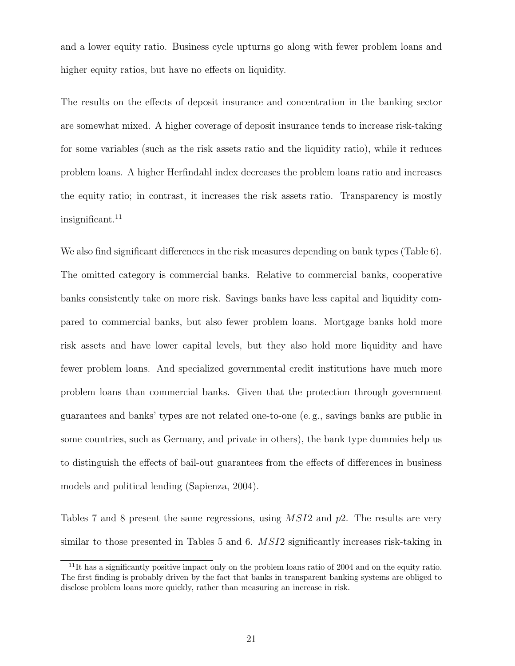and a lower equity ratio. Business cycle upturns go along with fewer problem loans and higher equity ratios, but have no effects on liquidity.

The results on the effects of deposit insurance and concentration in the banking sector are somewhat mixed. A higher coverage of deposit insurance tends to increase risk-taking for some variables (such as the risk assets ratio and the liquidity ratio), while it reduces problem loans. A higher Herfindahl index decreases the problem loans ratio and increases the equity ratio; in contrast, it increases the risk assets ratio. Transparency is mostly  $insignificant.<sup>11</sup>$ 

We also find significant differences in the risk measures depending on bank types (Table 6). The omitted category is commercial banks. Relative to commercial banks, cooperative banks consistently take on more risk. Savings banks have less capital and liquidity compared to commercial banks, but also fewer problem loans. Mortgage banks hold more risk assets and have lower capital levels, but they also hold more liquidity and have fewer problem loans. And specialized governmental credit institutions have much more problem loans than commercial banks. Given that the protection through government guarantees and banks' types are not related one-to-one (e. g., savings banks are public in some countries, such as Germany, and private in others), the bank type dummies help us to distinguish the effects of bail-out guarantees from the effects of differences in business models and political lending (Sapienza, 2004).

Tables 7 and 8 present the same regressions, using MSI2 and p2. The results are very similar to those presented in Tables 5 and 6. MSI2 significantly increases risk-taking in

<sup>&</sup>lt;sup>11</sup>It has a significantly positive impact only on the problem loans ratio of 2004 and on the equity ratio. The first finding is probably driven by the fact that banks in transparent banking systems are obliged to disclose problem loans more quickly, rather than measuring an increase in risk.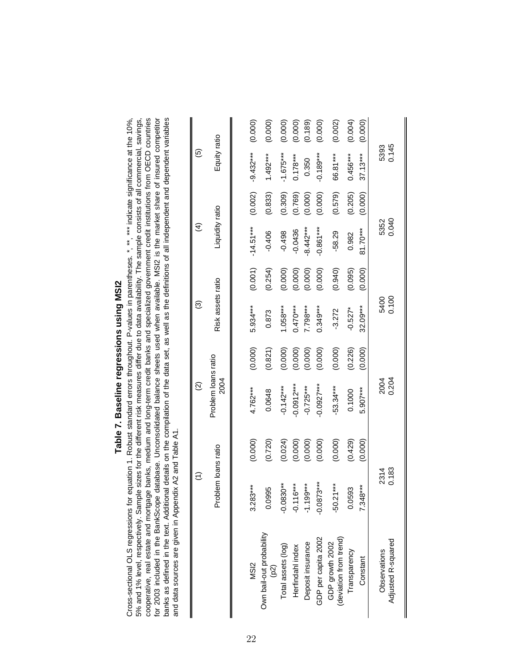| ۱<br>l<br>ı<br>ı<br>I |
|-----------------------|
| l<br>I<br>г<br>ī<br>۱ |
| í<br>l<br>ı<br>ı      |
| ı                     |
|                       |

cooperative, real estate and mortgage banks, medium and long-term credit banks and specialized govemment credit institutions from OECD countries<br>for 2003 included in the BankScope database. Unconsolidated balance sheets us banks as defined in the text. Additional details on the compilation of the data set, as well as the definitions of all independent and dependent variables 5% and 1% level, respectively. Sample sizes for the different risk measures differ due to data availability. The sample consists of all commercial, savings, Cross-sectional OLS regressions for equation 1. Robust standard errors throughout. P-values in parentheses. \*, \*\*, \*\*\* indicate significance at the 10%, for 2003 included in the BankScope database. Unconsolidated balance sheets used when available. MSI2 is the market share of insured competitor banks as defined in the text. Additional details on the compilation of the data set, as well as the definitions of all independent and dependent variables Cross-sectional OLS regressions for equation 1. Robust standard errors throughout. P-values in parentheses. \*, \*\*, \*\*\* indicate significance at the 10%, 5% and 1% level, respectively. Sample sizes for the different risk measures differ due to data availability. The sample consists of all commercial, savings, cooperative, real estate and mortgage banks, medium and long-term credit banks and specialized government credit institutions from OECD countries and data sources are given in Appendix A2 and Table A1. and data sources are given in Appendix A2 and Table A1. 

|                                                | $\widehat{\epsilon}$ |         | $\widehat{\Omega}$          |         | $\widehat{\mathcal{O}}$ |         | $\widehat{\mathcal{A}}$ |         | $\overline{6}$ |         |
|------------------------------------------------|----------------------|---------|-----------------------------|---------|-------------------------|---------|-------------------------|---------|----------------|---------|
|                                                | Problem loans ratio  |         | Problem loans ratio<br>2004 |         | Risk assets ratio       |         | Liquidity ratio         |         | Equity ratio   |         |
|                                                |                      |         |                             |         |                         |         |                         |         |                |         |
| MS <sub>12</sub>                               | $3.283***$           | (0.000) | $4.762***$                  | (0.000) | 5.934***                | (0.001) | $-14.51***$             | (0.002) | $-9.432***$    | (0.000) |
| Own bail-out probability<br>$\left( p2\right)$ | 0.0995               | (0.720) | 0.0648                      | (0.821) | 0.873                   | (0.254) | $-0.406$                | (0.833) | $1.492***$     | (0.000) |
| Total assets (log)                             | $-0.0830**$          | (0.024) | $-0.142***$                 | (0.000) | $1.058***$              | (0.000) | $-0.498$                | (0.309) | $-1.675***$    | (0.000) |
| Herfindahl index                               | $-0.116***$          | (0.000) | $-0.0912***$                | (0.000) | $0.470***$              | (0.000) | $-0.0436$               | (0.769) | $0.178***$     | (0.000) |
| Deposit insurance                              | $-1.199***$          | (0.000) | $-0.725***$                 | (0.000) | $7.798***$              | (0.000) | $-8.442***$             | (0.000) | 0.350          | (0.189) |
| GDP per capita 2002                            | $-0.0873***$         | (0.000) | $-0.0927***$                | (0.000) | $0.349***$              | (0.000) | $-0.861***$             | (0.000) | $-0.189***$    | (0.000) |
| (deviation from trend)<br>GDP growth 2002      | $-50.21***$          | (0.000) | $-53.34***$                 | (0.000) | $-3.272$                | (0.940) | $-58.29$                | (0.579) | 66.81***       | (0.002) |
| Transparency                                   | 0.0593               | (0.429) | 0.1000                      | (0.226) | $-0.527*$               | (0.095) | 0.982                   | (0.205) | $0.456***$     | (0.004) |
| Constant                                       | 7.348***             | (0.000) | $5.907***$                  | (0.000) | 32.09***                | (0.000) | 81.70***                | (0.000) | $37.13***$     | (0.000) |
| Observations                                   | 2314                 |         | 2004<br>0.204               |         | 5400<br>0.100           |         | 5352                    |         | 5393           |         |
| Adjusted R-squared                             | 0.183                |         |                             |         |                         |         | 0.040                   |         | 0.145          |         |

 $\blacksquare$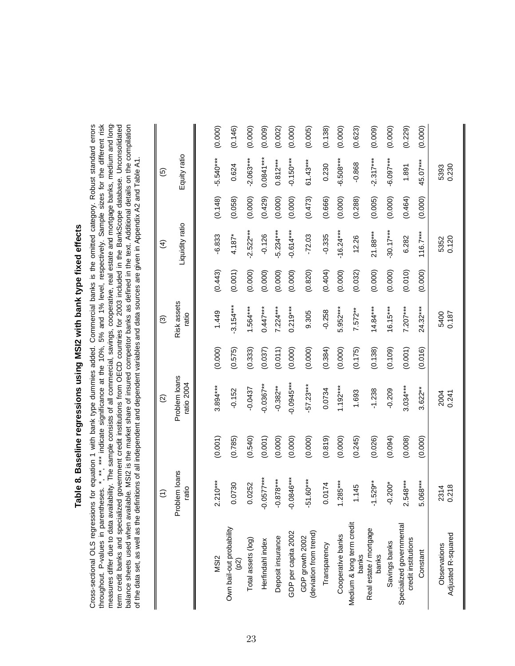| $\ddot{\phantom{a}}$<br>$\ddot{\phantom{a}}$ |
|----------------------------------------------|
|                                              |
|                                              |
|                                              |
|                                              |
|                                              |
|                                              |
| $\frac{c}{a}$<br>$\vdots$                    |
|                                              |
|                                              |
|                                              |
|                                              |
|                                              |
|                                              |
|                                              |
| ֚֚֡֡֡֬                                       |
| いろこ りょうりょうりょう<br>l                           |
|                                              |
|                                              |
| $\ddot{\phantom{a}}$                         |
|                                              |
| :<br>٦                                       |
|                                              |
| o annic<br>$\frac{1}{2}$                     |

measures differ due to data availability. The sample consists of all commercial, savings, cooperative, real estate and mortgage banks, medium and longterm credit banks and specialized government credit institutions from OECD countries for 2003 included in the BankScope database. Unconsolidated<br>balance sheets used when available. MSI2 is the market share of insured compe Cross-sectional OLS regressions for equation 1 with bank type dummies added. Commercial banks is the omitted category. Robust standard errors throughout. P-values in parentheses. \*, \*\*, \*\*\* indicate significance at the 10%, 5% and 1% level, respectively. Sample sizes for the different risk measures differ due to data availability. The sample consists of all commercial, savings, cooperative, real estate and mortgage banks, medium and long Cross-sectional OLS regressions for equation 1 with bank type dummies added. Commercial banks is the omitted category. Robust standard errors throughout. P-values in parentheses. \*, \*\*, \*\*\* indicate significance at the 10%, 5% and 1% level, respectively. Sample sizes for the different risk term credit banks and specialized government credit institutions from OECD countries for 2003 included in the BankScope database. Unconsolidated balance sheets used when available. MSI2 is the market share of insured competitor banks as defined in the text. Additional details on the compilation of the data set, as well as the definitions of all independent and dependent variables and data sources are given in Appendix A2 and Table A1. of the data set, as well as the definitions of all independent and dependent variables and data sources are given in Appendix A2 and Table A1.

|                                                 | $\widehat{\epsilon}$   |         | $\widehat{\infty}$          |         | ම                    |         | $\widehat{A}$   |         | $\widehat{\mathbf{e}}$ |         |
|-------------------------------------------------|------------------------|---------|-----------------------------|---------|----------------------|---------|-----------------|---------|------------------------|---------|
|                                                 | Problem loans<br>ratio |         | Problem loans<br>ratio 2004 |         | Risk assets<br>ratio |         | Liquidity ratio |         | Equity ratio           |         |
|                                                 |                        |         |                             |         |                      |         |                 |         |                        |         |
| MS <sub>12</sub>                                | $2.210***$             | (0.001) | 3.894***                    | (0.000) | 1.449                | (0.443) | $-6.833$        | (0.148) | $-5.540***$            | (0.000) |
| Own bail-out probability<br>(62)                | )730<br>ŏ              | (0.785) | $-0.152$                    | (0.575) | $-3.154***$          | (0.001) | $4.187*$        | (0.058) | 0.624                  | (0.146) |
| Total assets (log)                              | 0.0252                 | (0.540) | $-0.0437$                   | (0.333) | $1.564***$           | (0.000) | $-2.522***$     | (0.000) | $-2.063***$            | (0.000) |
| Herfindahl index                                | $-0.0577***$           | (0.001) | $-0.0367**$                 | (0.037) | $0.447***$           | (0.000) | $-0.126$        | (0.429) | $0.0841***$            | (0.009) |
| Deposit insurance                               | $-0.878***$            | (0.000) | $-0.382**$                  | (0.011) | $7.224***$           | (0.000) | $-5.234***$     | (0.000) | $0.812***$             | (0.002) |
| GDP per capita 2002                             | $-0.0846***$           | (0.000) | $-0.0945***$                | (0.000) | $0.219***$           | (0.000) | $-0.614***$     | (0.000) | $-0.150***$            | (0.000) |
| (deviation from trend)<br>GDP growth 2002       | $.60***$<br>.<br>ק     | (0.000) | $-57.23***$                 | (0.000) | 9.305                | (0.820) | $-72.03$        | (0.473) | $61.43***$             | (0.005) |
| Transparency                                    | 0.0174                 | (0.819) | 0.0734                      | (0.384) | $-0.258$             | (0.404) | $-0.335$        | (0.666) | 0.230                  | (0.138) |
| Cooperative banks                               | $1.285***$             | (0.000) | $1.192***$                  | (0.000) | $5.952***$           | (0.000) | $-16.24***$     | (0.000) | $-6.508***$            | (0.000) |
| Medium & long term credit<br>banks              | 1.145                  | (0.245) | 1.693                       | (0.175) | $7.572**$            | (0.032) | 12.26           | (0.288) | $-0.868$               | (0.623) |
| Real estate / mortgage<br>banks                 | $-1.529***$            | (0.026) | $-1.238$                    | (0.138) | $14.84***$           | (0.000) | $21.88***$      | (0.005) | $-2.317***$            | (0.009) |
| Savings banks                                   | $.200*$<br>ခဲ့         | (0.094) | $-0.209$                    | (0.109) | $16.15***$           | (0.000) | $-30.17***$     | (0.000) | $-6.097***$            | (0.000) |
| Specialized governmental<br>credit institutions | $2.548***$             | (0.008) | $3.034***$                  | (0.001) | $7.207***$           | (0.010) | 6.282           | (0.464) | 1.891                  | (0.229) |
| Constant                                        | $5.068***$             | (0.000) | $3.622***$                  | (0.016) | $24.32***$           | (0.000) | $116.7***$      | (0.000) | $45.07***$             | (0.000) |
| Adjusted R-squared<br>Observations              | 2314<br>0.218          |         | 2004<br>0.241               |         | 5400<br>0.187        |         | 5352<br>0.120   |         | 5393<br>0.230          |         |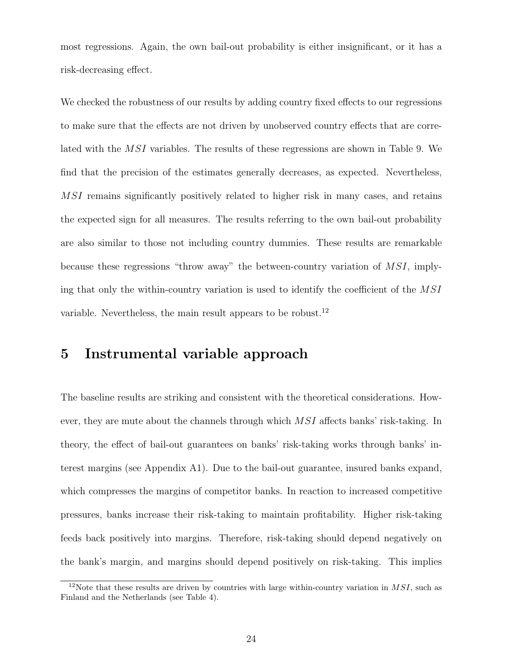most regressions. Again, the own bail-out probability is either insignificant, or it has a risk-decreasing effect.

We checked the robustness of our results by adding country fixed effects to our regressions to make sure that the effects are not driven by unobserved country effects that are correlated with the MSI variables. The results of these regressions are shown in Table 9. We find that the precision of the estimates generally decreases, as expected. Nevertheless, MSI remains significantly positively related to higher risk in many cases, and retains the expected sign for all measures. The results referring to the own bail-out probability are also similar to those not including country dummies. These results are remarkable because these regressions "throw away" the between-country variation of  $MSI$ , implying that only the within-country variation is used to identify the coefficient of the MSI variable. Nevertheless, the main result appears to be robust.<sup>12</sup>

### **5 Instrumental variable approach**

The baseline results are striking and consistent with the theoretical considerations. However, they are mute about the channels through which  $MSI$  affects banks' risk-taking. In theory, the effect of bail-out guarantees on banks' risk-taking works through banks' interest margins (see Appendix A1). Due to the bail-out guarantee, insured banks expand, which compresses the margins of competitor banks. In reaction to increased competitive pressures, banks increase their risk-taking to maintain profitability. Higher risk-taking feeds back positively into margins. Therefore, risk-taking should depend negatively on the bank's margin, and margins should depend positively on risk-taking. This implies

<sup>12</sup>Note that these results are driven by countries with large within-country variation in *MSI*, such as Finland and the Netherlands (see Table 4).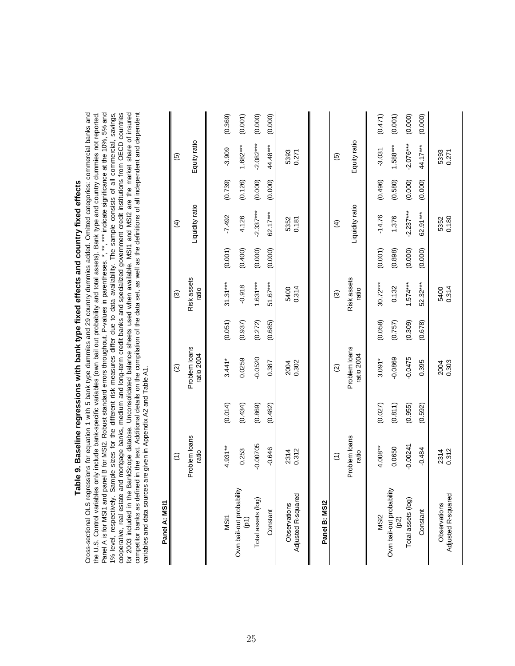Table 9. Baseline regressions with bank type fixed effects and country fixed effects **Table 9. Baseline regressions with bank type fixed effects and country fixed effects**

Cross-sectional OLS regressions for equation 1 with 5 bank type dummies and 29 country dummies added. Omitted categories: commercial banks and Panel A is for MSI1 and panel B for MSI2. Robust standard errors throughout. P-values in parentheses. \*, \*\*, \*\*, \*mdicate significance at the 10%, 5% and 1% level, respectively. Sample sizes for the different risk measures differ due to data availability. The sample consists of all commercial, savings, cooperative, real estate and mortgage banks, medium and long-term credit banks and specialized government credit institutions from OECD countries for 2003 included in the BankScope databse. Unconsolidated balance sheets used when available. MSI1 and MSI2 are the market share of insured competitor banks as defined in the text. Additional details on the compilation of the data set, as well as the definitions of all independent and dependent Cross-sectional OLS regressions for equation 1 with 5 bank type dummies and 29 country dummies added. Omitted categories: commercial banks and the U.S. Control variables only include bank-specific variables (own bail out probability and total assets). Bank type and country dummies not reported. Panel A is for MSI1 and panel B for MSI2. Robust standard errors throughout. P-values in parentheses. \*, \*\*, \*\*\* indicate significance at the 10%, 5% and 1% level, respectively. Sample sizes for the different risk measures differ due to data availability. The sample consists of all commercial, savings, cooperative, real estate and mortgage banks, medium and long-term credit banks and specialized government credit institutions from OECD countries for 2003 included in the BankScope databse. Unconsolidated balance sheets used when available. MSI1 and MSI2 are the market share of insured competitor banks as defined in the text. Additional details on the compilation of the data set, as well as the definitions of all independent and dependent the U.S. Control variables only include bank-specific variables (own bail out probability and total assets). Bank type and country dummies not reported. variables and data sources are given in Appendix A2 and Table A1. variables and data sources are given in Appendix A2 and Table A1.

|  |  | ì |
|--|--|---|
|  |  |   |
|  |  |   |
|  |  |   |
|  |  |   |
|  |  |   |
|  |  |   |
|  |  |   |
|  |  |   |
|  |  |   |
|  |  |   |
|  |  |   |
|  |  |   |

| Panel A: MSI1                                 |                        |         |                             |         |                      |         |                 |         |                          |         |
|-----------------------------------------------|------------------------|---------|-----------------------------|---------|----------------------|---------|-----------------|---------|--------------------------|---------|
|                                               | $\widehat{\tau}$       |         | $\widehat{\infty}$          |         | ල                    |         | $\widehat{f}$   |         | $\widehat{\mathbf{e}}$   |         |
|                                               | Problem loans<br>ratio |         | Problem loans<br>ratio 2004 |         | Risk assets<br>ratio |         | Liquidity ratio |         | Equity ratio             |         |
|                                               |                        |         |                             |         |                      |         |                 |         |                          |         |
| MSI1                                          | $4.931***$             | (0.014) | $3.441*$                    | (0.051) | $31.31***$           | (0.001) | $-7.492$        | (0.739) | $-3.909$                 | (0.369) |
| Own bail-out probability<br>$\left( p\right)$ | 0.253                  | (0.434) | 0.0259                      | (0.937) | $-0.918$             | (0.400) | 4.126           | (0.126) | $1.682***$               | (0.001) |
| Total assets (log)                            | $-0.00705$             | (0.869) | $-0.0520$                   | (0.272) | $1.631***$           | (0.000) | $-2.337***$     | (0.000) | $-2.082***$              | (0.000) |
| Constant                                      | $-0.646$               | (0.482) | 0.387                       | (0.685) | $51.67***$           | (0.000) | $62.17***$      | (0.000) | 44.48***                 | (0.000) |
| Adjusted R-squared<br>Observations            | 2314<br>0.312          |         | 2004<br>0.302               |         | 5400<br>0.314        |         | 5352<br>0.181   |         | 5393<br>0.271            |         |
| Panel B: MSI2                                 |                        |         |                             |         |                      |         |                 |         |                          |         |
|                                               | $\widehat{\tau}$       |         | $\widehat{\Omega}$          |         | ම                    |         | $\widehat{f}$   |         | $\widehat{\mathfrak{G}}$ |         |
|                                               | Problem loans<br>ratio |         | Problem loans<br>atio 2004  |         | Risk assets<br>ratio |         | Liquidity ratio |         | Equity ratio             |         |
| MSI <sub>2</sub>                              | $4.008***$             | (0.027) | $3.091*$                    | (0.058) | $30.72***$           | (0.001) | $-14.76$        | (0.496) | $-3.031$                 | (0.471) |
| Own bail-out probability<br>(p2)              | 0.0650                 | (0.811) | $-0.0869$                   | (0.757) | 0.132                | (0.898) | 1.376           | (0.580) | $1.588***$               | (0.001) |
| Total assets (log)                            | $-0.00241$             | (0.955) | $-0.0475$                   | (0.309) | $1.574***$           | (0.000) | $-2.237***$     | (0.000) | $-2.076***$              | (0.000) |
| Constant                                      | $-0.484$               | (0.592) | 0.395                       | (0.678) | $52.32***$           | (0.000) | 62.91***        | (0.000) | 44.17***                 | (0.000) |
| Adjusted R-squared<br>Observations            | 2314<br>0.312          |         | 2004<br>0.303               |         | 5400<br>0.314        |         | 5352<br>0.180   |         | 5393<br>0.271            |         |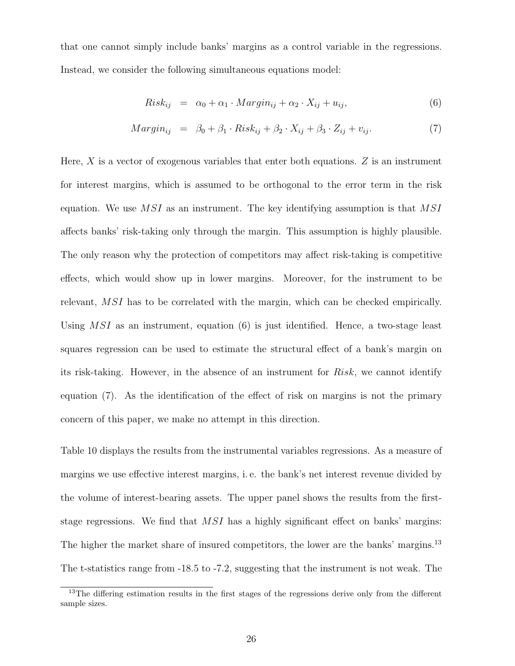that one cannot simply include banks' margins as a control variable in the regressions. Instead, we consider the following simultaneous equations model:

$$
Risk_{ij} = \alpha_0 + \alpha_1 \cdot Margin_{ij} + \alpha_2 \cdot X_{ij} + u_{ij}, \qquad (6)
$$

$$
Margin_{ij} = \beta_0 + \beta_1 \cdot Risk_{ij} + \beta_2 \cdot X_{ij} + \beta_3 \cdot Z_{ij} + v_{ij}.
$$
\n(7)

Here,  $X$  is a vector of exogenous variables that enter both equations.  $Z$  is an instrument for interest margins, which is assumed to be orthogonal to the error term in the risk equation. We use  $MSI$  as an instrument. The key identifying assumption is that  $MSI$ affects banks' risk-taking only through the margin. This assumption is highly plausible. The only reason why the protection of competitors may affect risk-taking is competitive effects, which would show up in lower margins. Moreover, for the instrument to be relevant, MSI has to be correlated with the margin, which can be checked empirically. Using  $MSI$  as an instrument, equation (6) is just identified. Hence, a two-stage least squares regression can be used to estimate the structural effect of a bank's margin on its risk-taking. However, in the absence of an instrument for Risk, we cannot identify equation (7). As the identification of the effect of risk on margins is not the primary concern of this paper, we make no attempt in this direction.

Table 10 displays the results from the instrumental variables regressions. As a measure of margins we use effective interest margins, i. e. the bank's net interest revenue divided by the volume of interest-bearing assets. The upper panel shows the results from the firststage regressions. We find that MSI has a highly significant effect on banks' margins: The higher the market share of insured competitors, the lower are the banks' margins.<sup>13</sup> The t-statistics range from -18.5 to -7.2, suggesting that the instrument is not weak. The

<sup>&</sup>lt;sup>13</sup>The differing estimation results in the first stages of the regressions derive only from the different sample sizes.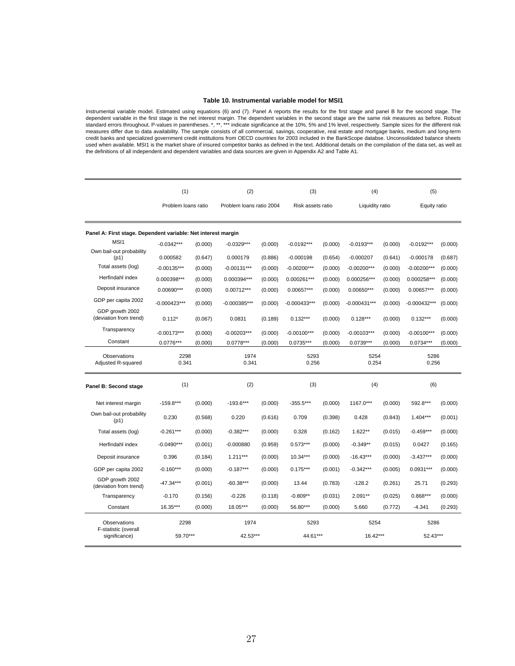### **Table 10. Instrumental variable model for MSI1**

Instrumental variable model. Estimated using equations (6) and (7). Panel A reports the results for the first stage and panel B for the second stage. The dependent variable in the first stage is the net interest margin. Th used when available. MSI1 is the market share of insured competitor banks as defined in the text. Additional details on the compilation of the data set, as well as the definitions of all independent and dependent variables and data sources are given in Appendix A2 and Table A1.

|                                                               | (1)                 |         | (2)                      |         | (3)               |         | (4)             |         | (5)           |         |
|---------------------------------------------------------------|---------------------|---------|--------------------------|---------|-------------------|---------|-----------------|---------|---------------|---------|
|                                                               | Problem loans ratio |         | Problem Ioans ratio 2004 |         | Risk assets ratio |         | Liquidity ratio |         | Equity ratio  |         |
| Panel A: First stage. Dependent variable: Net interest margin |                     |         |                          |         |                   |         |                 |         |               |         |
| MS <sub>11</sub>                                              | $-0.0342***$        | (0.000) | $-0.0329***$             | (0.000) | $-0.0192***$      | (0.000) | $-0.0193***$    | (0.000) | $-0.0192***$  | (0.000) |
| Own bail-out probability<br>(p1)                              | 0.000582            | (0.647) | 0.000179                 | (0.886) | $-0.000198$       | (0.654) | $-0.000207$     | (0.641) | $-0.000178$   | (0.687) |
| Total assets (log)                                            | $-0.00135***$       | (0.000) | $-0.00131***$            | (0.000) | $-0.00200***$     | (0.000) | $-0.00200***$   | (0.000) | $-0.00200***$ | (0.000) |
| Herfindahl index                                              | 0.000398***         | (0.000) | 0.000394***              | (0.000) | $0.000261***$     | (0.000) | 0.000256***     | (0.000) | 0.000258***   | (0.000) |
| Deposit insurance                                             | 0.00690***          | (0.000) | 0.00712***               | (0.000) | 0.00657***        | (0.000) | $0.00650***$    | (0.000) | 0.00657***    | (0.000) |
| GDP per capita 2002                                           | $-0.000423***$      | (0.000) | -0.000385***             | (0.000) | -0.000433***      | (0.000) | $-0.000431***$  | (0.000) | -0.000432***  | (0.000) |
| GDP growth 2002<br>(deviation from trend)                     | $0.112*$            | (0.067) | 0.0831                   | (0.189) | $0.132***$        | (0.000) | $0.128***$      | (0.000) | $0.132***$    | (0.000) |
| Transparency                                                  | $-0.00173***$       | (0.000) | $-0.00203***$            | (0.000) | $-0.00100***$     | (0.000) | $-0.00103***$   | (0.000) | $-0.00100***$ | (0.000) |
| Constant                                                      | $0.0776***$         | (0.000) | $0.0778***$              | (0.000) | $0.0735***$       | (0.000) | 0.0739***       | (0.000) | $0.0734***$   | (0.000) |
| Observations<br>Adjusted R-squared                            | 2298<br>0.341       |         | 1974<br>0.341            |         | 5293<br>0.256     |         | 5254<br>0.254   |         | 5286<br>0.256 |         |
| Panel B: Second stage                                         | (1)                 |         | (2)                      |         | (3)               |         | (4)             |         | (6)           |         |
| Net interest margin                                           | $-159.8***$         | (0.000) | $-193.6***$              | (0.000) | $-355.5***$       | (0.000) | 1167.0***       | (0.000) | 592.8***      | (0.000) |
| Own bail-out probability<br>(p1)                              | 0.230               | (0.568) | 0.220                    | (0.616) | 0.709             | (0.398) | 0.428           | (0.843) | $1.404***$    | (0.001) |
| Total assets (log)                                            | $-0.261***$         | (0.000) | $-0.382***$              | (0.000) | 0.328             | (0.162) | 1.622**         | (0.015) | $-0.459***$   | (0.000) |
| Herfindahl index                                              | $-0.0490***$        | (0.001) | $-0.000880$              | (0.959) | $0.573***$        | (0.000) | $-0.349**$      | (0.015) | 0.0427        | (0.165) |
| Deposit insurance                                             | 0.396               | (0.184) | $1.211***$               | (0.000) | 10.34***          | (0.000) | $-16.43***$     | (0.000) | $-3.437***$   | (0.000) |
| GDP per capita 2002                                           | $-0.160***$         | (0.000) | $-0.187***$              | (0.000) | $0.175***$        | (0.001) | $-0.342***$     | (0.005) | $0.0931***$   | (0.000) |
| GDP growth 2002<br>(deviation from trend)                     | $-47.34***$         | (0.001) | $-60.38***$              | (0.000) | 13.44             | (0.783) | $-128.2$        | (0.261) | 25.71         | (0.293) |
| Transparency                                                  | $-0.170$            | (0.156) | $-0.226$                 | (0.118) | $-0.809**$        | (0.031) | $2.091**$       | (0.025) | $0.868***$    | (0.000) |
| Constant                                                      | 16.35***            | (0.000) | 18.05***                 | (0.000) | 56.80***          | (0.000) | 5.660           | (0.772) | $-4.341$      | (0.293) |
| Observations<br>F-statistic (overall                          | 2298                |         | 1974                     |         | 5293              |         | 5254            |         | 5286          |         |
| significance)                                                 | 59.70***            |         | 42.53***                 |         | 44.61***          |         | 16.42***        |         | 52.43***      |         |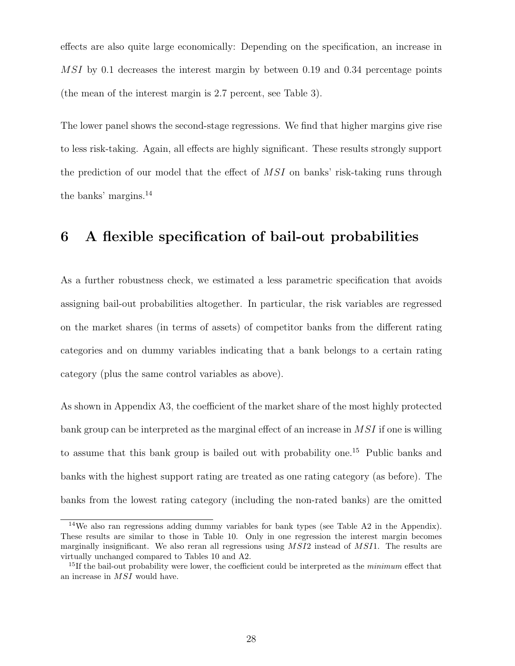effects are also quite large economically: Depending on the specification, an increase in MSI by 0.1 decreases the interest margin by between 0.19 and 0.34 percentage points (the mean of the interest margin is 2.7 percent, see Table 3).

The lower panel shows the second-stage regressions. We find that higher margins give rise to less risk-taking. Again, all effects are highly significant. These results strongly support the prediction of our model that the effect of  $MSI$  on banks' risk-taking runs through the banks' margins.<sup>14</sup>

### **6 A flexible specification of bail-out probabilities**

As a further robustness check, we estimated a less parametric specification that avoids assigning bail-out probabilities altogether. In particular, the risk variables are regressed on the market shares (in terms of assets) of competitor banks from the different rating categories and on dummy variables indicating that a bank belongs to a certain rating category (plus the same control variables as above).

As shown in Appendix A3, the coefficient of the market share of the most highly protected bank group can be interpreted as the marginal effect of an increase in MSI if one is willing to assume that this bank group is bailed out with probability one.<sup>15</sup> Public banks and banks with the highest support rating are treated as one rating category (as before). The banks from the lowest rating category (including the non-rated banks) are the omitted

<sup>14</sup>We also ran regressions adding dummy variables for bank types (see Table A2 in the Appendix). These results are similar to those in Table 10. Only in one regression the interest margin becomes marginally insignificant. We also reran all regressions using *MSI*2 instead of *MSI*1. The results are virtually unchanged compared to Tables 10 and A2.

<sup>15</sup>If the bail-out probability were lower, the coefficient could be interpreted as the *minimum* effect that an increase in *MSI* would have.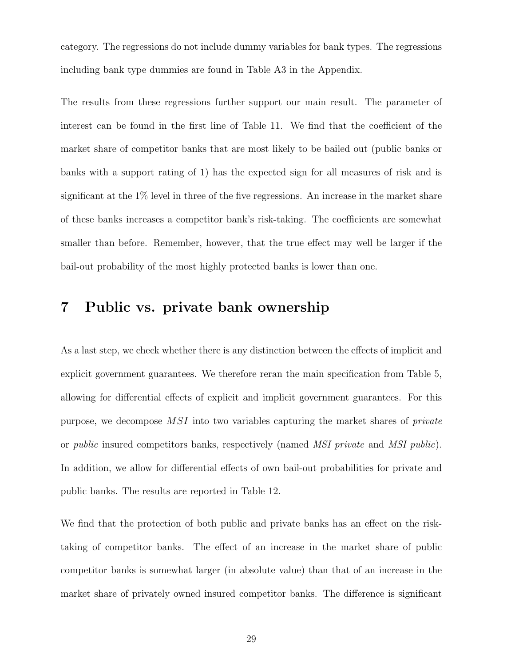category. The regressions do not include dummy variables for bank types. The regressions including bank type dummies are found in Table A3 in the Appendix.

The results from these regressions further support our main result. The parameter of interest can be found in the first line of Table 11. We find that the coefficient of the market share of competitor banks that are most likely to be bailed out (public banks or banks with a support rating of 1) has the expected sign for all measures of risk and is significant at the 1% level in three of the five regressions. An increase in the market share of these banks increases a competitor bank's risk-taking. The coefficients are somewhat smaller than before. Remember, however, that the true effect may well be larger if the bail-out probability of the most highly protected banks is lower than one.

### **7 Public vs. private bank ownership**

As a last step, we check whether there is any distinction between the effects of implicit and explicit government guarantees. We therefore reran the main specification from Table 5, allowing for differential effects of explicit and implicit government guarantees. For this purpose, we decompose MSI into two variables capturing the market shares of *private* or *public* insured competitors banks, respectively (named *MSI private* and *MSI public*). In addition, we allow for differential effects of own bail-out probabilities for private and public banks. The results are reported in Table 12.

We find that the protection of both public and private banks has an effect on the risktaking of competitor banks. The effect of an increase in the market share of public competitor banks is somewhat larger (in absolute value) than that of an increase in the market share of privately owned insured competitor banks. The difference is significant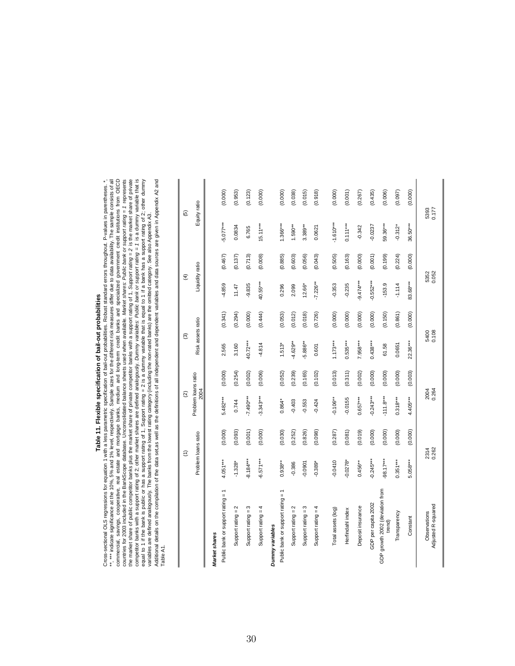### Table 11. Flexible specification of bail-out probabilities **Table 11. Flexible specification of bail-out probabilities**

countries for 2003 included in the BankScope database. Unconsolidated balance sheets used when available. *Narket shares: Public bank or support rating* = 1 represents the market share of public competitor bankscope databa Cross-sectional OLS regressions for equation 1 with a less parametric specification of bail-out probabilities. Robust standard errors throughout. P-values in parentheses. \*,<br>\*\*, \*\*\* indicate significance at the 10%, 5% and commercial, savings, cooperative, real estate and mortgage banks, medium and long-term credit banks and specialized government credit institutions from OECD Additional details on the compilation of the data set,as well as the definitions of all independent and dependent variables and data sources are given in Appendix A2 and Cross-sectional OLS regressions for equation 1 with a less parametric specification of bail-out probabilities. Robust standard errors throughout. P-values in parentheses. \*, \*\*, \*\*\* indicate significance at the 10%, 5% and 1% level, respectively. Sample sizes for the different risk measures differ due to data availability. The sample consists of all commercial, savings, cooperative, real estate and mortgage banks, medium and long-term credit banks and specialized government credit institutions from OECD countries for 2003 included in the BankScope database. Unconsolidated balance sheets used when available. Market shares: Public bank or support rating = 1 represents the market share of public competitor banks plus the market share of private competitor banks with a support rating of 1, *Support rating = 2* is the market share of private competior banks with a support rating of 2; other market shares are defined analogously. Dummy variables: Public bank or support rating = 1 is a dummy variable that is equal to 1 if the bank is public or has a support rating of 1, Support rating = 2 is a dummy variable that is equal to 1 if a bank has a support rating of 2; other dummy Additional details on the compilation of the data set,as well as the definitions of all independent and dependent variables and data sources are given in Appendix A2 and variables are defined analogously. The banks from the lowest rating category (including the non-rated banks) are the omitted category. See also Appendix A3.

Table A1. Table A1.

|                                           | $\widehat{\epsilon}$ |         | $\widehat{\omega}$                 |         | ම                 |         | $\widehat{f}$   |         | ල             |         |
|-------------------------------------------|----------------------|---------|------------------------------------|---------|-------------------|---------|-----------------|---------|---------------|---------|
|                                           | Problem loans ratio  |         | Problem loans ratio<br><b>2004</b> |         | Risk assets ratio |         | Liquidity ratio |         | Equity ratio  |         |
| Market shares                             |                      |         |                                    |         |                   |         |                 |         |               |         |
| Public bank or support rating = 1         | $4.051***$           | (0.000) | 5.482***                           | (0.000) | 2.565             | (0.341) | -4.859          | (0.467) | $-5.077***$   | (0.000) |
| Support rating $= 2$                      | $-1.328*$            | (0.093) | 0.744                              | (0.254) | 3.160             | (0.294) | 11.47           | (0.137) | 0.0834        | (0.953) |
| Support rating $= 3$                      | $8.184***$           | (0.001) | $-7.490***$                        | (0.002) | 40.72***          | (0.000) | $-9.835$        | (0.713) | 6.765         | (0.123) |
| Support rating $= 4$                      | $6.571***$           | (0.000) | $-3.343***$                        | (0.006) | $-4.814$          | (0.444) | 40.55***        | (0.008) | $15.11***$    | (0.000) |
| Dummy variables                           |                      |         |                                    |         |                   |         |                 |         |               |         |
| Public bank or support rating = 1         | $0.938***$           | (0.030) | $0.864*$                           | (0.052) | $1.513*$          | (0.053) | 0.296           | (0.885) | .366***       | (0.000) |
| Support rating $= 2$                      | $-0.386$             | (0.252) | $-0.403$                           | (0.239) | $4.629**$         | (0.012) | 2.099           | (0.603) | $1.590**$     | (0.038) |
| Support rating $= 3$                      | $-0.0901$            | (0.826) | $-0.553$                           | (0.165) | 5.886**           | (0.018) | $12.66*$        | (0.056) | 3.389**       | (0.015) |
| Support rating $= 4$                      | $-0.389*$            | (0.098) | $-0.424$                           | (0.102) | 0.601             | (0.726) | $-7.226**$      | (0.043) | 0.0621        | (0.918) |
|                                           |                      |         |                                    |         |                   |         |                 |         |               |         |
| Total assets (log)                        | $-0.0410$            | (0.287) | $-0.106***$                        | (0.013) | $1.173***$        | (0.000) | $-0.353$        | (0.505) | $-1.610***$   | (0.000) |
| Herfindahl index                          | $-0.0278$ *          | (0.081) | $-0.0155$                          | (0.311) | $0.535***$        | (0.000) | $-0.235$        | (0.163) | $0.111***$    | (0.001) |
| Deposit insurance                         | $0.456***$           | (0.019) | $0.657***$                         | (0.002) | 7.958***          | (0.000) | $-9.474***$     | (0.000) | $-0.342$      | (0.267) |
| GDP per capita 2002                       | $0.245***$           | (0.000) | $-0.243***$                        | (0.000) | $0.438***$        | (0.000) | $-0.552***$     | (0.001) | $-0.0237$     | (0.435) |
| GDP growth 2002 (deviation from<br>trend) | 98.17***             | (0.000) | $-111.8***$                        | (0.000) | 61.58             | (0.150) | $-153.9$        | (0.199) | 59.36***      | (0.006) |
| Transparency                              | $0.351***$           | (0.000) | $0.318***$                         | (0.000) | 0.0651            | (0.861) | $-1.114$        | (0.224) | $-0.312*$     | (0.097) |
| Constant                                  | 5.058***             | (0.000) | $4.405***$                         | (0.003) | 22.36***          | (0.000) | 83.68***        | (0.000) | 36.50***      | (0.000) |
| Adjusted R-squared<br>Observations        | 2314<br>0.262        |         | 2004<br>0.264                      |         | 5400<br>0.108     |         | 5352<br>0.052   |         | 5393<br>0.177 |         |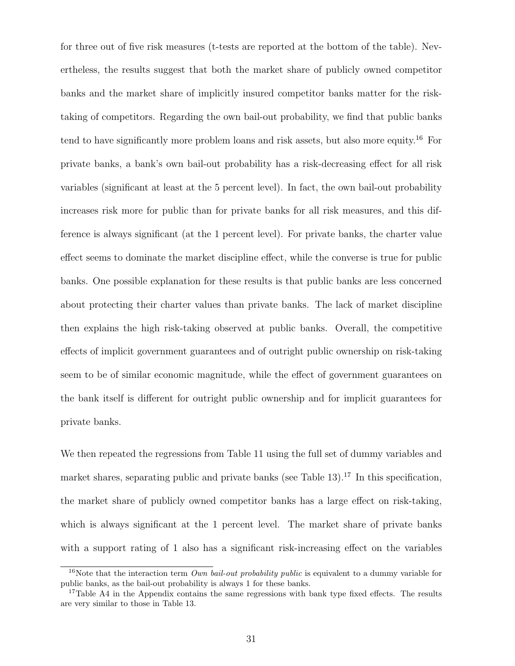for three out of five risk measures (t-tests are reported at the bottom of the table). Nevertheless, the results suggest that both the market share of publicly owned competitor banks and the market share of implicitly insured competitor banks matter for the risktaking of competitors. Regarding the own bail-out probability, we find that public banks tend to have significantly more problem loans and risk assets, but also more equity.<sup>16</sup> For private banks, a bank's own bail-out probability has a risk-decreasing effect for all risk variables (significant at least at the 5 percent level). In fact, the own bail-out probability increases risk more for public than for private banks for all risk measures, and this difference is always significant (at the 1 percent level). For private banks, the charter value effect seems to dominate the market discipline effect, while the converse is true for public banks. One possible explanation for these results is that public banks are less concerned about protecting their charter values than private banks. The lack of market discipline then explains the high risk-taking observed at public banks. Overall, the competitive effects of implicit government guarantees and of outright public ownership on risk-taking seem to be of similar economic magnitude, while the effect of government guarantees on the bank itself is different for outright public ownership and for implicit guarantees for private banks.

We then repeated the regressions from Table 11 using the full set of dummy variables and market shares, separating public and private banks (see Table  $13$ ).<sup>17</sup> In this specification, the market share of publicly owned competitor banks has a large effect on risk-taking, which is always significant at the 1 percent level. The market share of private banks with a support rating of 1 also has a significant risk-increasing effect on the variables

<sup>16</sup>Note that the interaction term *Own bail-out probability public* is equivalent to a dummy variable for public banks, as the bail-out probability is always 1 for these banks.

<sup>&</sup>lt;sup>17</sup>Table A4 in the Appendix contains the same regressions with bank type fixed effects. The results are very similar to those in Table 13.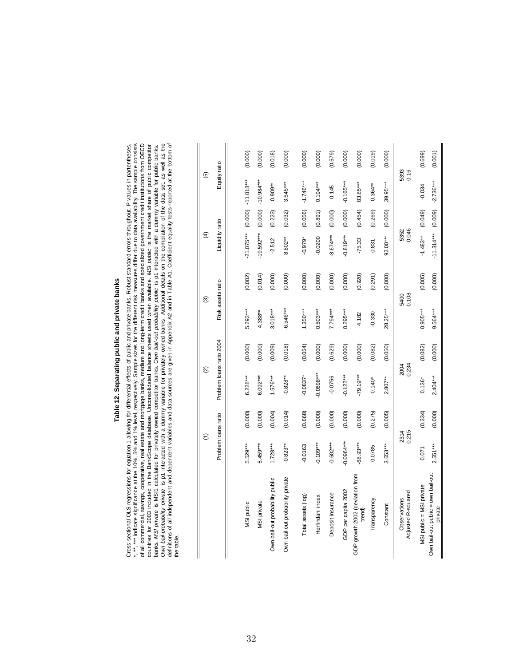### Table 12. Separating public and private banks **Table 12. Separating public and private banks**

Cross-sectional OLS regressions for equation 1 allowing for differential effects of public and private banks. Robust standard errors throughout. P-values in partentheses.<br>\*, \*\*, \*\*\* indicate significance at the 10%, 5% and Cross-sectional OLS regressions for equation 1 allowing for differential effects of public and private banks. Robust standard errors throughout. P-values in partentheses. \*, \*\*, \*\*\* indicate significance at the 10%, 5% and 1% level, respectively. Sample sizes for the different risk measures differ due to data availability. The sample consists of all commercial, savings, cooperative, real estate and mortgage banks, medium and long-term credit banks and specialized government credit institutions from OECD *Own bail-probability private* is p1 interacted with a dummy variable for privately owned banks. Additional details on the compilation of the data set, as well as the definitions of all independent and dependent variables and data sources are given in Appendix A2 and in Table A1. Coefficient equality tests reported at the bottom of countries for 2003 included in the BankScope database. Unconsolidated balance sheets used when available. *MSI public* is the market share of public competitor banks. MSI private is MSI1 calculated for privately owned competitor banks. Own bail-out probability public is p1 interacted with a dummy variable for public banks. the table. the table.

|                                               | $\widehat{\epsilon}$ |         | $\widehat{\infty}$       |         |                   | ම       | E               |         | ම                    |         |
|-----------------------------------------------|----------------------|---------|--------------------------|---------|-------------------|---------|-----------------|---------|----------------------|---------|
|                                               | Problem loans ratio  |         | Problem loans ratio 2004 |         | Risk assets ratio |         | Liquidity ratio |         | Equity ratio         |         |
|                                               |                      |         |                          |         |                   |         |                 |         |                      |         |
| MSI public                                    | 5.529***             | (0.000) | $6.228***$               | (0.000) | $5.293***$        | (0.002) | $-21.075***$    |         | $(0.000)$ -11.018*** | (0.000) |
| MSI private                                   | 5.459***             | (0.000) | $6.092***$               | (0.000) | $4.388***$        | (0.014) | $-19.592***$    | (0.000) | $-10.984***$         | (0.000) |
| Own bail-out probability public               | $1.728***$           | (0.004) | $-576***$                | (0.009) | $3.018***$        | (0.000) | $-2.512$        | (0.223) | $0.909**$            | (0.018) |
| Own bail-out probability private              | $-0.823**$           | (0.014) | $-0.828**$               | (0.018) | $-6.546***$       | (0.000) | 8.802**         | (0.032) | $3.645***$           | (0.000) |
| Total assets (log)                            | $-0.0163$            | (0.668) | $-0.0837*$               | (0.054) | $1.350***$        | (0.000) | $-0.979*$       | (0.056) | $-1.746***$          | (0.000) |
| Herfindahl index                              | $-0.109***$          | (0.000) | $-0.0698***$             | (0.000) | $0.503***$        | (0.000) | $-0.0200$       | (0.891) | $0.194***$           | (0.000) |
| Deposit insurance                             | $-0.602***$          | (0.000) | $-0.0756$                | (0.629) | 7.794***          | (0.000) | $-8.674***$     | (0.000) | 0.145                | (0.579) |
| GDP per capita 2002                           | $-0.0964***$         | (0.000) | $-0.122***$              | (0.000) | $0.295***$        | (0.000) | $-0.819***$     | (0.000) | $-0.165***$          | (0.000) |
| GDP growth 2002 (deviation from<br>trend)     | 68.93***             | (0.000) | $-79.19***$              | (0.000) | 4.182             | (0.920) | $-75.33$        | (0.454) | 83.85***             | (0.000) |
| Transparency                                  | 0.0785               | (0.275) | $0.140*$                 | (0.082) | $-0.330$          | (0.291) | 0.831           | (0.269) | $0.364***$           | (0.019) |
| Constant                                      | 3.653***             | (0.005) | $2.807**$                | (0.050) | 28.25***          | (0.000) | 92.00***        | (0.000) | 39.95***             | (0.000) |
| Adjusted R-squared<br>Observations            | 2314<br>0.215        |         | 0.234<br>2004            |         | 0.108             | 5400    | 5352<br>0.046   |         | 5393<br>0.16         |         |
| MSI public = MSI private                      | 0.071                | (0.334) | $0.136*$                 | (0.082) | $0.905***$        | (0.005) | $-1.483***$     | (0.049) | $-0.034$             | (0.699) |
| Own bail-out public = own bail-out<br>private | $2.551***$           | (0.000) | $2.404***$               | (0.000) | $9.564***$        | (0.000) | $-11.314***$    | (0.009) | $-2.736***$          | (0.001) |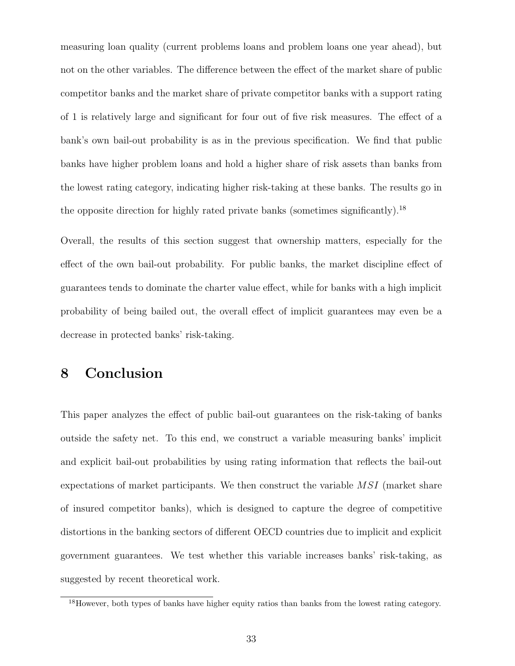measuring loan quality (current problems loans and problem loans one year ahead), but not on the other variables. The difference between the effect of the market share of public competitor banks and the market share of private competitor banks with a support rating of 1 is relatively large and significant for four out of five risk measures. The effect of a bank's own bail-out probability is as in the previous specification. We find that public banks have higher problem loans and hold a higher share of risk assets than banks from the lowest rating category, indicating higher risk-taking at these banks. The results go in the opposite direction for highly rated private banks (sometimes significantly).<sup>18</sup>

Overall, the results of this section suggest that ownership matters, especially for the effect of the own bail-out probability. For public banks, the market discipline effect of guarantees tends to dominate the charter value effect, while for banks with a high implicit probability of being bailed out, the overall effect of implicit guarantees may even be a decrease in protected banks' risk-taking.

### **8 Conclusion**

This paper analyzes the effect of public bail-out guarantees on the risk-taking of banks outside the safety net. To this end, we construct a variable measuring banks' implicit and explicit bail-out probabilities by using rating information that reflects the bail-out expectations of market participants. We then construct the variable MSI (market share of insured competitor banks), which is designed to capture the degree of competitive distortions in the banking sectors of different OECD countries due to implicit and explicit government guarantees. We test whether this variable increases banks' risk-taking, as suggested by recent theoretical work.

<sup>&</sup>lt;sup>18</sup>However, both types of banks have higher equity ratios than banks from the lowest rating category.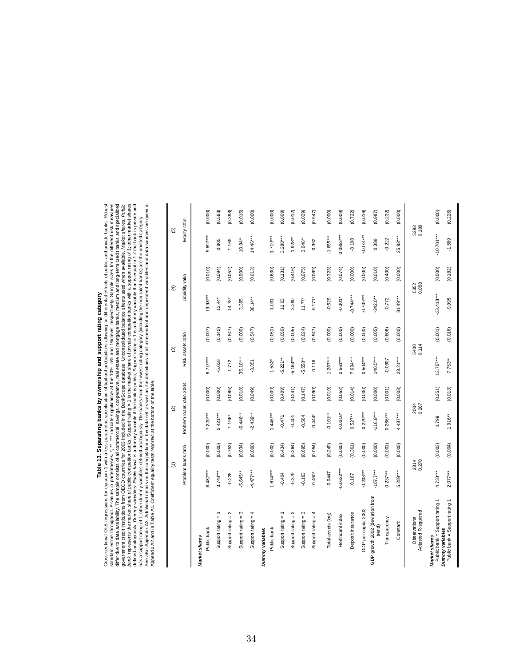## **Table 13. Separating banks by ownership and support rating category**

Cross-sectional OLS regressions for equation 1 with a less parametric specification of ball-out problem and support rating category<br>andard errors throughout. P-values in partentheses: \*, \*\* indicate specification of ball-o Cross-sectional OLS regressions for equation 1 with a less parametric specification of bail-out probabilities allowing for differential effects of public and private banks. Robust standard errors throughout. P-values in partentheses. \*, \*\*, \*\*\* indicate significance at the 10%, 5% and 1% level, respectively. Sample sizes for the different risk measures differ due to data availability. The sample consists of all commercial, savings, cooperative, real estate and mortgage banks, medium and long-term credit banks and specialized *bank* represents the market share of public competitor banks, Support rating = 1 is the market share of private competitor banks with a support rating of 1; other market shares defined analogously. Dummy variables: Public bank is a dummy variable if the bank is public, Support rating = 1 is a dummy variable that is equal to 1 if the bank is private and See also Appendix A3. Additional details on the compilation of the data set, as well as the definitions of all independent and dependent variables and data sources are given in government credit institutions from OECD countries for 2003 included in the BankScope database. Unconsolidated balance sheets used when available. *Market shares: Public* has a support rating of 1; other dummy variables defined analogously. The banks from the lowest rating category (including the non-rated banks) are the omitted category. Appendix A2 and in Table A1. Coefficient equality tests reported at the bottom of the table.

|                                                                    | $\widehat{E}$       |         | ତ୍ର                      |         | ම                 |         | $\widehat{\mathcal{F}}$ |         | $\widehat{\mathfrak{G}}$ |         |
|--------------------------------------------------------------------|---------------------|---------|--------------------------|---------|-------------------|---------|-------------------------|---------|--------------------------|---------|
|                                                                    | Problem loans ratio |         | Problem loans ratio 2004 |         | Risk assets ratio |         | Liquidity ratio         |         | Equity ratio             |         |
| Market shares                                                      |                     |         |                          |         |                   |         |                         |         |                          |         |
| Public bank                                                        | 8.482***            | (0.000) | $7.220***$               | (0.000) | 8.719***          | (0.007) | $-19.98***$             | (0.010) | 9.897***                 | (0.000) |
| Support rating $= 1$                                               | $3.748***$          | (0.000) | $5.421***$               | (0.000) | $-5.038$          | (0.140) | $13.44*$                | (0.094) | 0.805                    | (0.583) |
| Support rating $= 2$                                               | $-0.226$            | (0.753) | 1.196*                   | (0.085) | 1.772             | (0.547) | $14.78*$                | (0.052) | 1.165                    | (0.398) |
| Support rating $= 3$                                               | $-5.645**$          | (0.034) | $-6.446**$               | (0.018) | 35.18***          | (0.000) | 3.395                   | (0.900) | $10.84***$               | (0.016) |
| Support rating $= 4$                                               | $-4.477***$         | (0.000) | $-2.439**$               | (0.049) | $-3.851$          | (0.547) | $38.14***$              | (0.013) | $14.46***$               | (0.000) |
| Dummy variables                                                    |                     |         |                          |         |                   |         |                         |         |                          |         |
| Public bank                                                        | $1.674***$          | (0.002) | $1.446***$               | (0.009) | $1.532*$          | (0.051) | 1.031                   | (0.630) | $1.719***$               | (0.000) |
| Support rating =                                                   | $-0.404$            | (0.434) | $-0.471$                 | (0.409) | $6.221***$        | (0.050) | 11.03                   | (0.131) | 3.288***                 | (0.009) |
| $\mathbf{\Omega}$<br>Support rating =                              | $-0.379$            | (0.264) | $-0.401$                 | (0.241) | $5.183***$        | (0.005) | 3.290                   | (0.416) | $1.928**$                | (0.012) |
| Support rating $=$ 3                                               | $-0.163$            | (0.695) | $-0.584$                 | (0.147) | $5.558***$        | (0.024) | $11.77*$                | (0.075) | $3.048**$                | (0.029) |
| Support rating $= 4$                                               | $-0.450*$           | (0.054) | $-0.444*$                | (0.090) | 0.116             | (0.947) | $-6.171*$               | (0.089) | 0.362                    | (0.547) |
| Total assets (log)                                                 | $-0.0447$           | (0.249) | $-0.101**$               | (0.019) | $1.267***$        | (0.000) | $-0.529$                | (0.323) | $-1.655***$              | (0.000) |
| Herfindahl index                                                   | $-0.0632***$        | (0.000) | $-0.0316*$               | (0.052) | $0.561***$        | (0.000) | $-0.301*$               | (0.074) | $0.0883***$              | (0.009) |
| Deposit insurance                                                  | 0.167               | (0.361) | $0.527***$               | (0.014) | $7.634***$        | (0.000) | $-8.744***$             | (0.000) | $-0.108$                 | (0.722) |
| GDP per capita 2002                                                | $-0.208***$         | (0.000) | $-0.229***$              | (0.000) | $0.504***$        | (0.000) | $-0.709***$             | (0.000) | $-0.0737**$              | (0.016) |
| GDP growth 2002 (deviation from<br>trend)                          | $-107.7***$         | (0.000) | $-116.9***$              | (0.000) | $140.5***$        | (0.005) | $-342.0***$             | (0.010) | 0.389                    | (0.987) |
| Transparency                                                       | $0.237***$          | (0.001) | $0.266***$               | (0.001) | -0.0907           | (0.806) | $-0.772$                | (0.400) | $-0.222$                 | (0.232) |
| Constant                                                           | $5.289***$          | (0.000) | $4.487***$               | (0.003) | $23.21***$        | (0.000) | $81.49***$              | (0.000) | 35.83***                 | (0.000) |
| Adjusted R-squared<br>Observations                                 | 2314<br>0.270       |         | 0.267<br>2004            |         | 0.114<br>5400     |         | 5352<br>0.058           |         | 5393<br>0.189            |         |
| Public bank = Support rating 1<br>Dummy variables<br>Market shares | $4.733***$          | (0.003) | 1.799                    | (0.251) | $13.757***$       | (0.001) | $-33.418***$            | (0.000) | $-10.701***$             | (0.000) |
| Public bank = Support rating 1                                     | $2.077***$          | (0.004) | 1.916**                  | (0.013) | 7.753**           | (0.016) | $-9.995$                | (0.182) | $-1.569$                 | (0.226) |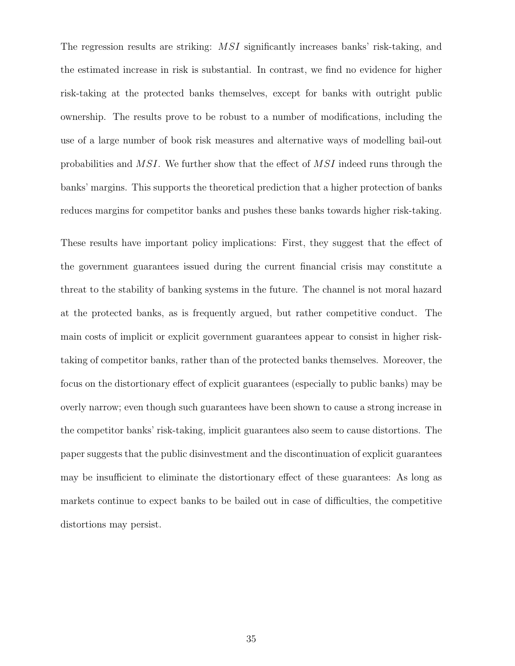The regression results are striking: MSI significantly increases banks' risk-taking, and the estimated increase in risk is substantial. In contrast, we find no evidence for higher risk-taking at the protected banks themselves, except for banks with outright public ownership. The results prove to be robust to a number of modifications, including the use of a large number of book risk measures and alternative ways of modelling bail-out probabilities and MSI. We further show that the effect of MSI indeed runs through the banks' margins. This supports the theoretical prediction that a higher protection of banks reduces margins for competitor banks and pushes these banks towards higher risk-taking.

These results have important policy implications: First, they suggest that the effect of the government guarantees issued during the current financial crisis may constitute a threat to the stability of banking systems in the future. The channel is not moral hazard at the protected banks, as is frequently argued, but rather competitive conduct. The main costs of implicit or explicit government guarantees appear to consist in higher risktaking of competitor banks, rather than of the protected banks themselves. Moreover, the focus on the distortionary effect of explicit guarantees (especially to public banks) may be overly narrow; even though such guarantees have been shown to cause a strong increase in the competitor banks' risk-taking, implicit guarantees also seem to cause distortions. The paper suggests that the public disinvestment and the discontinuation of explicit guarantees may be insufficient to eliminate the distortionary effect of these guarantees: As long as markets continue to expect banks to be bailed out in case of difficulties, the competitive distortions may persist.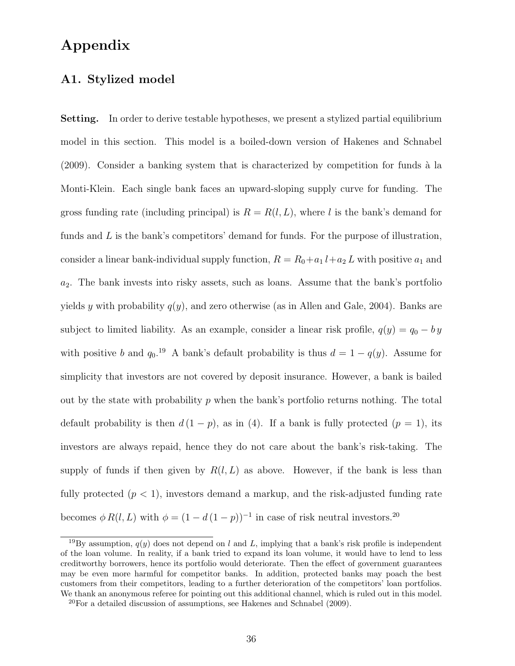### **Appendix**

### **A1. Stylized model**

**Setting.** In order to derive testable hypotheses, we present a stylized partial equilibrium model in this section. This model is a boiled-down version of Hakenes and Schnabel  $(2009)$ . Consider a banking system that is characterized by competition for funds à la Monti-Klein. Each single bank faces an upward-sloping supply curve for funding. The gross funding rate (including principal) is  $R = R(l, L)$ , where l is the bank's demand for funds and  $L$  is the bank's competitors' demand for funds. For the purpose of illustration, consider a linear bank-individual supply function,  $R = R_0 + a_1 l + a_2 L$  with positive  $a_1$  and  $a_2$ . The bank invests into risky assets, such as loans. Assume that the bank's portfolio yields y with probability  $q(y)$ , and zero otherwise (as in Allen and Gale, 2004). Banks are subject to limited liability. As an example, consider a linear risk profile,  $q(y) = q_0 - by$ with positive b and  $q_0$ .<sup>19</sup> A bank's default probability is thus  $d = 1 - q(y)$ . Assume for simplicity that investors are not covered by deposit insurance. However, a bank is bailed out by the state with probability  $p$  when the bank's portfolio returns nothing. The total default probability is then  $d(1 - p)$ , as in (4). If a bank is fully protected  $(p = 1)$ , its investors are always repaid, hence they do not care about the bank's risk-taking. The supply of funds if then given by  $R(l, L)$  as above. However, if the bank is less than fully protected  $(p < 1)$ , investors demand a markup, and the risk-adjusted funding rate becomes  $\phi R(l, L)$  with  $\phi = (1 - d(1 - p))^{-1}$  in case of risk neutral investors.<sup>20</sup>

<sup>&</sup>lt;sup>19</sup>By assumption,  $q(y)$  does not depend on *l* and *L*, implying that a bank's risk profile is independent of the loan volume. In reality, if a bank tried to expand its loan volume, it would have to lend to less creditworthy borrowers, hence its portfolio would deteriorate. Then the effect of government guarantees may be even more harmful for competitor banks. In addition, protected banks may poach the best customers from their competitors, leading to a further deterioration of the competitors' loan portfolios. We thank an anonymous referee for pointing out this additional channel, which is ruled out in this model.

 $20$ For a detailed discussion of assumptions, see Hakenes and Schnabel (2009).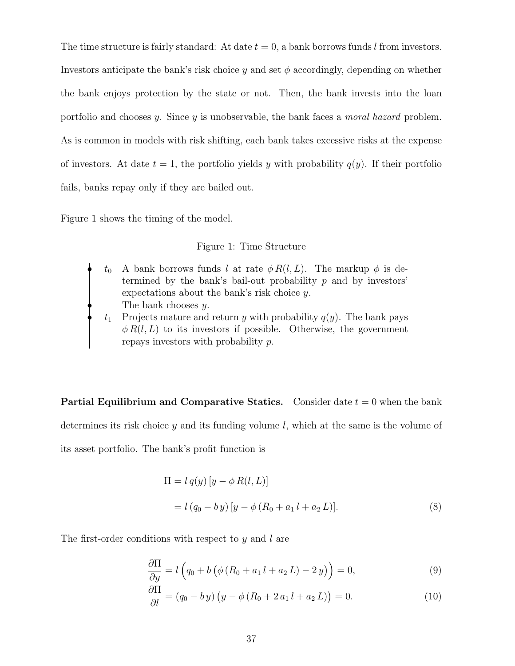The time structure is fairly standard: At date  $t = 0$ , a bank borrows funds l from investors. Investors anticipate the bank's risk choice  $\eta$  and set  $\phi$  accordingly, depending on whether the bank enjoys protection by the state or not. Then, the bank invests into the loan portfolio and chooses y. Since y is unobservable, the bank faces a *moral hazard* problem. As is common in models with risk shifting, each bank takes excessive risks at the expense of investors. At date  $t = 1$ , the portfolio yields y with probability  $q(y)$ . If their portfolio fails, banks repay only if they are bailed out.

Figure 1 shows the timing of the model.

Figure 1: Time Structure

 $t_0$  A bank borrows funds l at rate  $\phi R(l, L)$ . The markup  $\phi$  is determined by the bank's bail-out probability  $p$  and by investors' expectations about the bank's risk choice y. The bank chooses  $y$ .  $t_1$  Projects mature and return y with probability  $q(y)$ . The bank pays

 $\phi R(l, L)$  to its investors if possible. Otherwise, the government repays investors with probability p.

**Partial Equilibrium and Comparative Statics.** Consider date  $t = 0$  when the bank determines its risk choice  $\eta$  and its funding volume l, which at the same is the volume of its asset portfolio. The bank's profit function is

$$
\Pi = l q(y) [y - \phi R(l, L)]
$$
  
=  $l (q_0 - by) [y - \phi (R_0 + a_1 l + a_2 L)].$  (8)

The first-order conditions with respect to  $y$  and  $l$  are

$$
\frac{\partial \Pi}{\partial y} = l \left( q_0 + b \left( \phi \left( R_0 + a_1 l + a_2 L \right) - 2 y \right) \right) = 0, \tag{9}
$$

$$
\frac{\partial \Pi}{\partial l} = (q_0 - b y) (y - \phi (R_0 + 2 a_1 l + a_2 L)) = 0.
$$
 (10)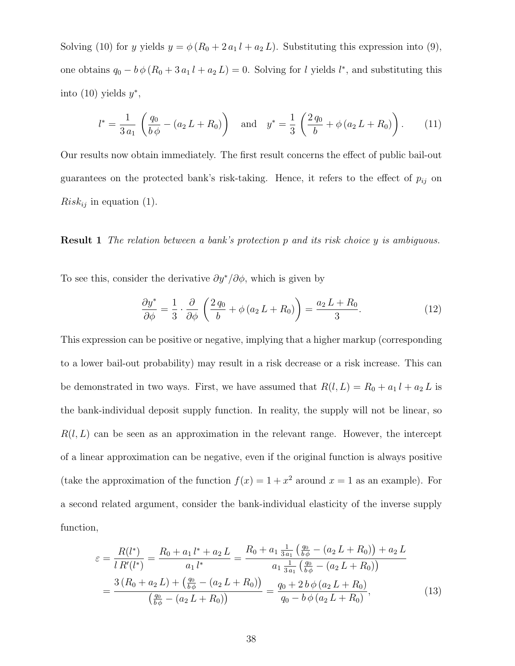Solving (10) for y yields  $y = \phi (R_0 + 2 a_1 l + a_2 L)$ . Substituting this expression into (9), one obtains  $q_0 - b \phi (R_0 + 3 a_1 l + a_2 L) = 0$ . Solving for l yields l<sup>\*</sup>, and substituting this into (10) yields  $y^*$ ,

$$
l^* = \frac{1}{3 a_1} \left( \frac{q_0}{b \phi} - (a_2 L + R_0) \right) \quad \text{and} \quad y^* = \frac{1}{3} \left( \frac{2 q_0}{b} + \phi (a_2 L + R_0) \right). \tag{11}
$$

Our results now obtain immediately. The first result concerns the effect of public bail-out guarantees on the protected bank's risk-taking. Hence, it refers to the effect of  $p_{ij}$  on  $Risk_{ij}$  in equation (1).

**Result 1** *The relation between a bank's protection* p *and its risk choice* y *is ambiguous.*

To see this, consider the derivative  $\partial y^* / \partial \phi$ , which is given by

$$
\frac{\partial y^*}{\partial \phi} = \frac{1}{3} \cdot \frac{\partial}{\partial \phi} \left( \frac{2 q_0}{b} + \phi (a_2 L + R_0) \right) = \frac{a_2 L + R_0}{3}.
$$
 (12)

This expression can be positive or negative, implying that a higher markup (corresponding to a lower bail-out probability) may result in a risk decrease or a risk increase. This can be demonstrated in two ways. First, we have assumed that  $R(l, L) = R_0 + a_1 l + a_2 L$  is the bank-individual deposit supply function. In reality, the supply will not be linear, so  $R(l, L)$  can be seen as an approximation in the relevant range. However, the intercept of a linear approximation can be negative, even if the original function is always positive (take the approximation of the function  $f(x)=1+x^2$  around  $x = 1$  as an example). For a second related argument, consider the bank-individual elasticity of the inverse supply function,

$$
\varepsilon = \frac{R(l^*)}{l \, R'(l^*)} = \frac{R_0 + a_1 \, l^* + a_2 \, L}{a_1 \, l^*} = \frac{R_0 + a_1 \frac{1}{3 \, a_1} \left(\frac{q_0}{b \, \phi} - (a_2 \, L + R_0)\right) + a_2 \, L}{a_1 \frac{1}{3 \, a_1} \left(\frac{q_0}{b \, \phi} - (a_2 \, L + R_0)\right)}
$$
\n
$$
= \frac{3 \left(R_0 + a_2 \, L\right) + \left(\frac{q_0}{b \, \phi} - (a_2 \, L + R_0)\right)}{\left(\frac{q_0}{b \, \phi} - (a_2 \, L + R_0)\right)} = \frac{q_0 + 2 \, b \, \phi \left(a_2 \, L + R_0\right)}{q_0 - b \, \phi \left(a_2 \, L + R_0\right)},\tag{13}
$$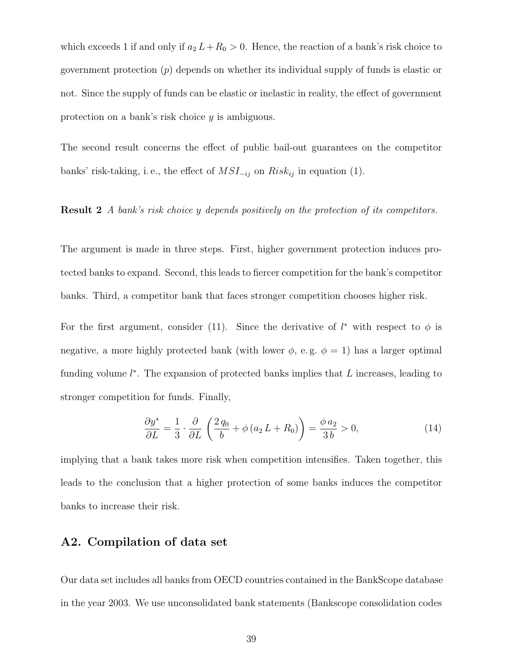which exceeds 1 if and only if  $a_2 L+R_0 > 0$ . Hence, the reaction of a bank's risk choice to government protection  $(p)$  depends on whether its individual supply of funds is elastic or not. Since the supply of funds can be elastic or inelastic in reality, the effect of government protection on a bank's risk choice y is ambiguous.

The second result concerns the effect of public bail-out guarantees on the competitor banks' risk-taking, i.e., the effect of  $MSI_{-ij}$  on  $Risk_{ij}$  in equation (1).

### **Result 2** *A bank's risk choice* y *depends positively on the protection of its competitors.*

The argument is made in three steps. First, higher government protection induces protected banks to expand. Second, this leads to fiercer competition for the bank's competitor banks. Third, a competitor bank that faces stronger competition chooses higher risk.

For the first argument, consider (11). Since the derivative of  $l^*$  with respect to  $\phi$  is negative, a more highly protected bank (with lower  $\phi$ , e.g.  $\phi = 1$ ) has a larger optimal funding volume  $l^*$ . The expansion of protected banks implies that  $L$  increases, leading to stronger competition for funds. Finally,

$$
\frac{\partial y^*}{\partial L} = \frac{1}{3} \cdot \frac{\partial}{\partial L} \left( \frac{2 q_0}{b} + \phi (a_2 L + R_0) \right) = \frac{\phi a_2}{3 b} > 0,
$$
\n(14)

implying that a bank takes more risk when competition intensifies. Taken together, this leads to the conclusion that a higher protection of some banks induces the competitor banks to increase their risk.

### **A2. Compilation of data set**

Our data set includes all banks from OECD countries contained in the BankScope database in the year 2003. We use unconsolidated bank statements (Bankscope consolidation codes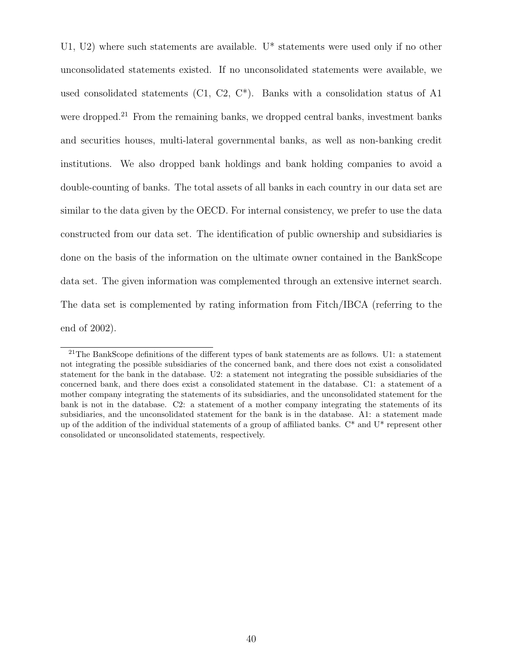U1, U2) where such statements are available. U\* statements were used only if no other unconsolidated statements existed. If no unconsolidated statements were available, we used consolidated statements (C1, C2,  $C^*$ ). Banks with a consolidation status of A1 were dropped.<sup>21</sup> From the remaining banks, we dropped central banks, investment banks and securities houses, multi-lateral governmental banks, as well as non-banking credit institutions. We also dropped bank holdings and bank holding companies to avoid a double-counting of banks. The total assets of all banks in each country in our data set are similar to the data given by the OECD. For internal consistency, we prefer to use the data constructed from our data set. The identification of public ownership and subsidiaries is done on the basis of the information on the ultimate owner contained in the BankScope data set. The given information was complemented through an extensive internet search. The data set is complemented by rating information from Fitch/IBCA (referring to the end of 2002).

<sup>&</sup>lt;sup>21</sup>The BankScope definitions of the different types of bank statements are as follows. U1: a statement not integrating the possible subsidiaries of the concerned bank, and there does not exist a consolidated statement for the bank in the database. U2: a statement not integrating the possible subsidiaries of the concerned bank, and there does exist a consolidated statement in the database. C1: a statement of a mother company integrating the statements of its subsidiaries, and the unconsolidated statement for the bank is not in the database. C2: a statement of a mother company integrating the statements of its subsidiaries, and the unconsolidated statement for the bank is in the database. A1: a statement made up of the addition of the individual statements of a group of affiliated banks.  $C^*$  and  $U^*$  represent other consolidated or unconsolidated statements, respectively.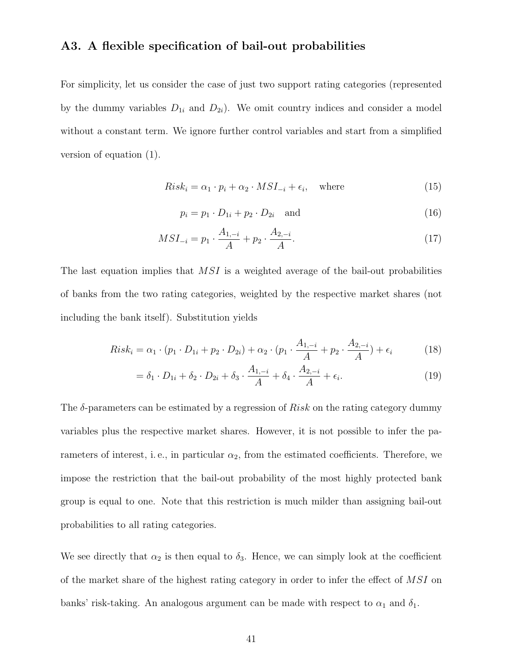### **A3. A flexible specification of bail-out probabilities**

For simplicity, let us consider the case of just two support rating categories (represented by the dummy variables  $D_{1i}$  and  $D_{2i}$ ). We omit country indices and consider a model without a constant term. We ignore further control variables and start from a simplified version of equation (1).

$$
Risk_i = \alpha_1 \cdot p_i + \alpha_2 \cdot MSI_{-i} + \epsilon_i, \quad \text{where}
$$
\n(15)

$$
p_i = p_1 \cdot D_{1i} + p_2 \cdot D_{2i} \quad \text{and} \tag{16}
$$

$$
MSI_{-i} = p_1 \cdot \frac{A_{1,-i}}{A} + p_2 \cdot \frac{A_{2,-i}}{A}.
$$
\n(17)

The last equation implies that  $MSI$  is a weighted average of the bail-out probabilities of banks from the two rating categories, weighted by the respective market shares (not including the bank itself). Substitution yields

$$
Risk_i = \alpha_1 \cdot (p_1 \cdot D_{1i} + p_2 \cdot D_{2i}) + \alpha_2 \cdot (p_1 \cdot \frac{A_{1,-i}}{A} + p_2 \cdot \frac{A_{2,-i}}{A}) + \epsilon_i
$$
 (18)

$$
= \delta_1 \cdot D_{1i} + \delta_2 \cdot D_{2i} + \delta_3 \cdot \frac{A_{1,-i}}{A} + \delta_4 \cdot \frac{A_{2,-i}}{A} + \epsilon_i.
$$
 (19)

The  $\delta$ -parameters can be estimated by a regression of  $Risk$  on the rating category dummy variables plus the respective market shares. However, it is not possible to infer the parameters of interest, i.e., in particular  $\alpha_2$ , from the estimated coefficients. Therefore, we impose the restriction that the bail-out probability of the most highly protected bank group is equal to one. Note that this restriction is much milder than assigning bail-out probabilities to all rating categories.

We see directly that  $\alpha_2$  is then equal to  $\delta_3$ . Hence, we can simply look at the coefficient of the market share of the highest rating category in order to infer the effect of MSI on banks' risk-taking. An analogous argument can be made with respect to  $\alpha_1$  and  $\delta_1.$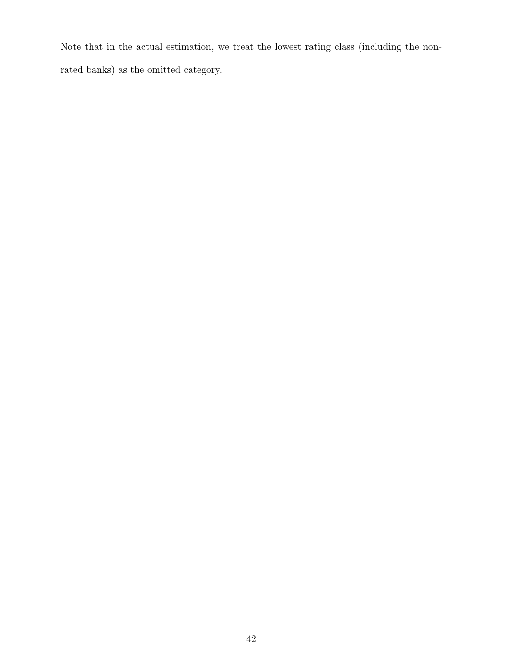Note that in the actual estimation, we treat the lowest rating class (including the nonrated banks) as the omitted category.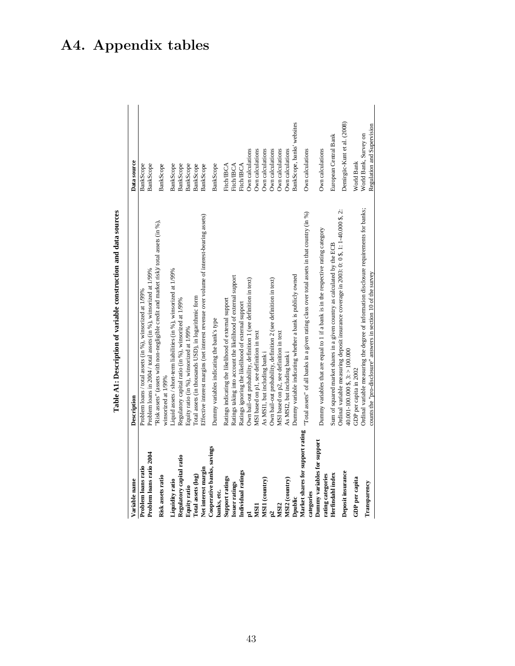| Variable name                             | Description                                                                                                                                                | Data source                                         |
|-------------------------------------------|------------------------------------------------------------------------------------------------------------------------------------------------------------|-----------------------------------------------------|
| Problem loans ratio                       | Problem loans / total assets (in %), winsorized at 1/99%                                                                                                   | <b>BankScope</b>                                    |
| Problem loans ratio 2004                  | Problem loans in 2004 / total assets (in %), winsorized at 1/99%                                                                                           | BankScope                                           |
| Risk assets ratio                         | Risk assets" (assets with non-negligible credit and market risk)/ total assets (in %),<br>winsorized at 1/99%                                              | BankScope                                           |
| Liquidity ratio                           | Liquid assets / short-term liabilities (in %), winsorized at 1/99%                                                                                         | BankScope                                           |
| Regulatory capital ratio                  | Regulatory capital ratio (in %), winsorized at 1/99%                                                                                                       | <b>BankScope</b>                                    |
| <b>Equity ratio</b>                       | Equity ratio (in %), winsorized at 1/99%                                                                                                                   | BankScope                                           |
| Total assets (log)                        | Total assets (in thousands USD), in logarithmic form                                                                                                       | BankScope                                           |
| Net interest margin                       | Effective interest margins (net interest revenue over volume of interest-bearing assets)                                                                   | BankScope                                           |
| Cooperative banks, savings<br>banks, etc. | Dummy variables indicating the bank's type                                                                                                                 | BankScope                                           |
| Support ratings                           | Ratings indicating the likelihood of external support                                                                                                      | <b>Fitch/IBCA</b>                                   |
| <b>Issuer ratings</b>                     | Ratings taking into account the likelihood of external support                                                                                             | <b>Fitch/IBCA</b>                                   |
| Individual ratings                        | Ratings ignoring the likelihood of external support                                                                                                        | <b>Fitch/IBCA</b>                                   |
| Eq                                        | Own bail-out probability, definition 1 (see definition in text)                                                                                            | Own calculations                                    |
| MSII                                      | MSI based on p1, see definition in text                                                                                                                    | Own calculations                                    |
| MSII (country)                            | As MSI1, but including bank i                                                                                                                              | Own calculations                                    |
| p2                                        | Own bail-out probability, definition 2 (see definition in text)                                                                                            | Own calculations                                    |
| MSI2                                      | MSI based on p2, see definition in text                                                                                                                    | Own calculations                                    |
| MSI2 (country)                            | As MSI2, but including bank i                                                                                                                              | Own calculations                                    |
| Dpublic                                   | Dummy variable indicating whether a bank is publicly owned                                                                                                 | BankScope, banks' websites                          |
| Market shares for support rating          | "Total assets" of all banks in a given rating class over total assets in that country (in %)                                                               | Own calculations                                    |
| Dummy variables for support<br>categories |                                                                                                                                                            |                                                     |
| rating categories                         | Dummy variables that are equal to 1 if a bank is in the respective rating category                                                                         | Own calculations                                    |
| Herfindahl index                          | Sum of squared market shares in a given country as calculated by the ECB                                                                                   | European Central Bank                               |
| Deposit insurance                         | Ordinal variable measuring deposit insurance coverage in 2003: 0: 0 \$, 1: 1-40.000 \$, 2:<br>$40.001 - 100.000$ \$, 3: > 100.000                          | Demirgüc-Kunt et al. (2008)                         |
| GDP per capita                            | GDP per capita in 2002                                                                                                                                     | World Bank                                          |
| Transparency                              | Ordinal variable measuring the degree of information disclosure requirements for banks;<br>counts the "pro-disclosure" answers in section 10 of the survey | Regulation and Supervision<br>World Bank, Survey on |
|                                           |                                                                                                                                                            |                                                     |

Table A1: Description of variable construction and data sources **Table A1: Description of variable construction and data sources**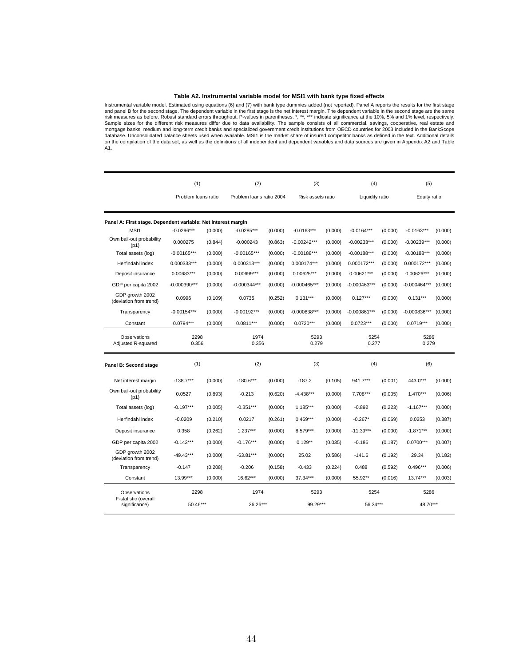### **Table A2. Instrumental variable model for MSI1 with bank type fixed effects**

Instrumental variable model. Estimated using equations (6) and (7) with bank type dummies added (not reported). Panel A reports the results for the first stage and panel B for the second stage. The dependent variable in the first stage is the net interest margin. The dependent variable in the second stage are the same risk measures as before. Robust standard errors throughout. P-values in parentheses. \*, \*\*, \*\*\* indicate significance at the 10%, 5% and 1% level, respectively.<br>Sample sizes for the different risk measures differ due to d database. Unconsolidated balance sheets used when available. MSI1 is the market share of insured competitor banks as defined in the text. Additional details on the compilation of the data set, as well as the definitions of all independent and dependent variables and data sources are given in Appendix A2 and Table A1.

|                                                               | (1)                 |         | (2)                      |         | (3)               |         | (4)             |         | (5)            |         |
|---------------------------------------------------------------|---------------------|---------|--------------------------|---------|-------------------|---------|-----------------|---------|----------------|---------|
|                                                               | Problem loans ratio |         | Problem Ioans ratio 2004 |         | Risk assets ratio |         | Liquidity ratio |         | Equity ratio   |         |
| Panel A: First stage. Dependent variable: Net interest margin |                     |         |                          |         |                   |         |                 |         |                |         |
| MS <sub>11</sub>                                              | $-0.0296***$        | (0.000) | $-0.0285***$             | (0.000) | $-0.0163***$      | (0.000) | $-0.0164***$    | (0.000) | $-0.0163***$   | (0.000) |
| Own bail-out probability<br>(p1)                              | 0.000275            | (0.844) | $-0.000243$              | (0.863) | $-0.00242***$     | (0.000) | -0.00233***     | (0.000) | $-0.00239***$  | (0.000) |
| Total assets (log)                                            | $-0.00165***$       | (0.000) | $-0.00165***$            | (0.000) | $-0.00188***$     | (0.000) | $-0.00188***$   | (0.000) | $-0.00188***$  | (0.000) |
| Herfindahl index                                              | 0.000333***         | (0.000) | $0.000313***$            | (0.000) | 0.000174***       | (0.000) | 0.000172***     | (0.000) | 0.000172***    | (0.000) |
| Deposit insurance                                             | 0.00683***          | (0.000) | 0.00699***               | (0.000) | 0.00625***        | (0.000) | 0.00621***      | (0.000) | 0.00626***     | (0.000) |
| GDP per capita 2002                                           | $-0.000390***$      | (0.000) | $-0.000344***$           | (0.000) | $-0.000465***$    | (0.000) | $-0.000463***$  | (0.000) | $-0.000464***$ | (0.000) |
| GDP growth 2002<br>(deviation from trend)                     | 0.0996              | (0.109) | 0.0735                   | (0.252) | $0.131***$        | (0.000) | $0.127***$      | (0.000) | $0.131***$     | (0.000) |
| Transparency                                                  | $-0.00154***$       | (0.000) | $-0.00192***$            | (0.000) | $-0.000838***$    | (0.000) | $-0.000861***$  | (0.000) | $-0.000836***$ | (0.000) |
| Constant                                                      | $0.0794***$         | (0.000) | $0.0811***$              | (0.000) | $0.0720***$       | (0.000) | $0.0723***$     | (0.000) | $0.0719***$    | (0.000) |
| Observations<br>Adjusted R-squared                            | 2298<br>0.356       |         | 1974<br>0.356            |         | 5293<br>0.279     |         | 5254<br>0.277   |         | 5286<br>0.279  |         |
| Panel B: Second stage                                         | (1)                 |         | (2)                      |         | (3)               |         | (4)             |         | (6)            |         |
| Net interest margin                                           | $-138.7***$         | (0.000) | $-180.6***$              | (0.000) | $-187.2$          | (0.105) | 941.7***        | (0.001) | 443.0***       | (0.000) |
| Own bail-out probability<br>(p1)                              | 0.0527              | (0.893) | $-0.213$                 | (0.620) | $-4.438***$       | (0.000) | 7.708***        | (0.005) | $1.470***$     | (0.006) |
| Total assets (log)                                            | $-0.197***$         | (0.005) | $-0.351***$              | (0.000) | $1.185***$        | (0.000) | $-0.892$        | (0.223) | $-1.167***$    | (0.000) |
| Herfindahl index                                              | $-0.0209$           | (0.210) | 0.0217                   | (0.261) | $0.469***$        | (0.000) | $-0.267*$       | (0.069) | 0.0253         | (0.387) |
| Deposit insurance                                             | 0.358               | (0.262) | $1.237***$               | (0.000) | 8.579***          | (0.000) | $-11.39***$     | (0.000) | $-1.871***$    | (0.000) |
| GDP per capita 2002                                           | $-0.143***$         | (0.000) | $-0.176***$              | (0.000) | $0.129**$         | (0.035) | $-0.186$        | (0.187) | 0.0700***      | (0.007) |
| GDP growth 2002<br>(deviation from trend)                     | $-49.43***$         | (0.000) | $-63.81***$              | (0.000) | 25.02             | (0.586) | $-141.6$        | (0.192) | 29.34          | (0.182) |
| Transparency                                                  | $-0.147$            | (0.208) | $-0.206$                 | (0.158) | $-0.433$          | (0.224) | 0.488           | (0.592) | $0.496***$     | (0.006) |
| Constant                                                      | 13.99***            | (0.000) | 16.62***                 | (0.000) | 37.34***          | (0.000) | 55.92**         | (0.016) | 13.74***       | (0.003) |
| Observations                                                  | 2298                |         | 1974                     |         | 5293              |         | 5254            |         | 5286           |         |
| F-statistic (overall<br>significance)                         | 50.46***            |         | 36.26***                 |         | 99.29***          |         | 56.34***        |         | 48.70***       |         |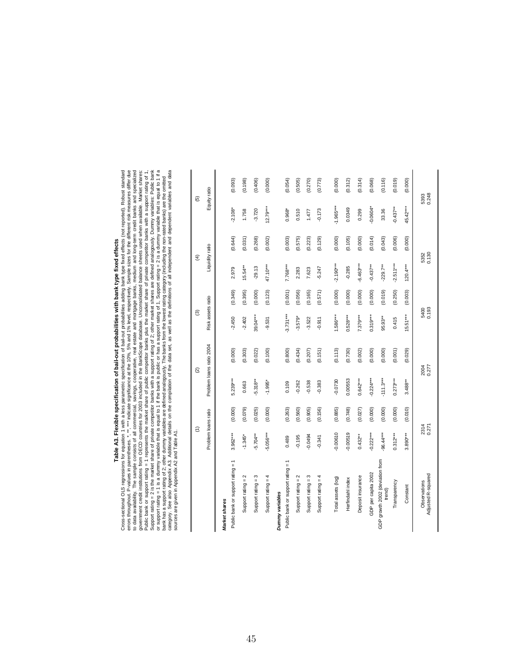## **Table A3. Flexible specification of bail-out probabilities with bank type fixed effects**

**Table A3. Flexible specification of bail-out probabilities with bank type fixed effects**<br>Cross-sectional OLS regressions for equation 1 with a less parametric specification of bail-out probabilities with bank type fixed Cross-sectional OLS regressions for equation 1 with a less parametric specification of bail-out probabilities adding bank type fixed effects (not reported). Robust standard errors throughout. P-values in parentheses. \*, \*\*, \*\*\* indicate significance at the 10%, 5% and 1% level, respectively. Sample sizes for the different risk measures differ due to data availability. The sample consists of all commercial, savings, cooperative, real estate and mortgage banks, medium and long-term credit banks and specialized government credit institutions from OECD countries for 2003 included in the BankScope database. Unconsolidated balance sheets used when available. Market shares: Public bank or support rating = 1 represents the market share of public competitor banks plus the market share of private competitor banks with a support rating of 1, Support rating = 2 is the market share of private competitor banks with a support rating of 2; other market shares are defined analogously. Dummy variables: Public bank or support rating = 1 is a dummy variable that is equal to 1 if the bank is public or has a support rating of 1, Support rating = 2 is a dummy variable that is equal to 1 if a category. See also Appendix A3. Additional details on the compilation of the data set, as well as the definitions of all independent and dependent variables and data bank has a support rating of 2; other dummy variables are defined analogously. The banks from the lowest rating category (including the non-rated banks) are the omitted sources are given in Appendix A2 and Table A1.

|                                           | $\widehat{E}$       |         | $\widehat{\omega}$       |         | $\widehat{\mathcal{E}}$ |         | $\widehat{f}$   |         | $\widehat{\mathfrak{G}}$ |         |
|-------------------------------------------|---------------------|---------|--------------------------|---------|-------------------------|---------|-----------------|---------|--------------------------|---------|
|                                           | Problem loans ratio |         | Problem loans ratio 2004 |         | Risk assets ratio       |         | Liquidity ratio |         | Equity ratio             |         |
| Market shares                             |                     |         |                          |         |                         |         |                 |         |                          |         |
| Public bank or support rating = 1         | $3.962***$          | (0.000) | $5.239***$               | (0.000) | $-2.450$                | (0.349) | 2.979           | (0.644) | $-2.108$ <sup>*</sup>    | (0.093) |
| Support rating $= 2$                      | $-1.345$ *          | (0.079) | 0.663                    | (0.303) | $-2.402$                | (0.395) | $15.54***$      | (0.031) | 1.758                    | (0.198) |
| S<br>Support rating =                     | $-5.704***$         | (0.025) | $-5.318**$               | (0.022) | 39.04***                | (0.000) | $-29.13$        | (0.268) | $-3.720$                 | (0.406) |
| Support rating $= 4$                      | $-5.056***$         | (0.000) | $-1.995$ <sup>*</sup>    | (0.100) | $-9.531$                | (0.123) | 47.10***        | (0.002) | $12.79***$               | (0.000) |
| Dummy variables                           |                     |         |                          |         |                         |         |                 |         |                          |         |
| Public bank or support rating = 1         | 0.489               | (0.263) | 0.109                    | (0.800) | $3.731***$              | (0.001) | 7.768***        | (0.003) | $0.968*$                 | (0.054) |
| Support rating $= 2$                      | $-0.195$            | (0.560) | $-0.262$                 | (0.434) | $-3.579*$               | (0.056) | 2.283           | (0.575) | 0.510                    | (0.505) |
| Support rating $= 3$                      | $-0.0494$           | (0.905) | $-0.538$                 | (0.207) | $-3.522$                | (0.165) | 7.623           | (0.223) | 1.477                    | (0.270) |
| Support rating $= 4$                      | $-0.341$            | (0.156) | $-0.383$                 | (0.151) | $-0.911$                | (0.571) | $-5.247$        | (0.129) | $-0.173$                 | (0.773) |
|                                           |                     |         |                          |         |                         |         |                 |         |                          |         |
| Total assets (log)                        | $-0.00610$          | (0.885) | $-0.0730$                | (0.113) | 1.586***                | (0.000) | $-2.190***$     | (0.000) | $-1.965***$              | (0.000) |
| Herfindahl index                          | $-0.00519$          | (0.748) | 0.00553                  | (0.730) | $0.528***$              | (0.000) | $-0.285$        | (0.105) | 0.0349                   | (0.312) |
| Deposit insurance                         | $0.432***$          | (0.027) | $0.642***$               | (0.002) | 7.379***                | (0.000) | $-6.463***$     | (0.000) | 0.299                    | (0.314) |
| GDP per capita 2002                       | $-0.222***$         | (0.000) | $0.224***$               | (0.000) | $0.319***$              | (0.000) | $-0.437**$      | (0.014) | $-0.0604*$               | (0.068) |
| GDP growth 2002 (deviation from<br>trend) | 96.44***            | (0.000) | $-111.3***$              | (0.000) | 95.93**                 | (0.019) | $-229.7***$     | (0.043) | 33.36                    | (0.116) |
| Transparency                              | $0.312***$          | (0.000) | $0.273***$               | (0.001) | 0.415                   | (0.250) | $-2.511***$     | (0.006) | $-0.437***$              | (0.019) |
| Constant                                  | 3.890***            | (0.010) | 3.488**                  | (0.029) | $15.51***$              | (0.003) | $120.4***$      | (0.000) | 45.42***                 | (0.000) |
| Adjusted R-squared<br>Observations        | 2314<br>0.271       |         | 2004<br>0.277            |         | 5400<br>0.193           |         | 5352<br>0.130   |         | 5393<br>0.248            |         |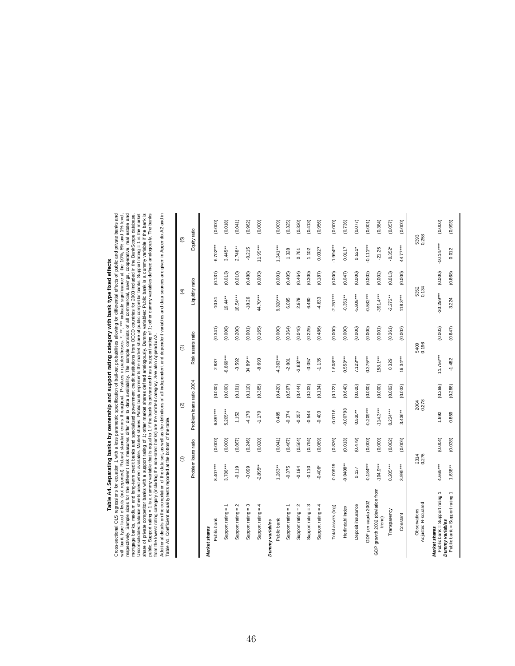# **Table A4. Separating banks by ownership and support rating category with bank type fixed effects**

Table A4. Separating banks by ownership and support rating category with bank type fixed effects<br>Cross-sectional OLS regressions for equation 1 with a less parametric specification of ball-out probabilities allowing for di Cross-sectional OLS regressions for equation 1 with a less parametric specification of bail-out probabilities allowing for differential effects of public and private banks and respectively. Sample sizes for the different risk measures differ due to data availability. The sample consists of all commercial, savings, cooperative, real estate and Unconsolidated balance sheets used when available. Market shares: Public bank represents the market share of public competitor banks, Support rating = 1 is the market share of private competitor banks with a support rating of 1; other market shares defined analogously. Dummy variables: Public bank is a dummy variable if the bank is public, Support rating = 1 is a dummy variable that is equal to 1 if the bank is private and has a support rating of 1; other dummy variables defined analogously. The banks with bank type fixed effects (not reported). Robust standard errors throughout. P-values in partentheses. \*, \*\*, \*\*\*, indicate significance at the 10%, 5% and 1% level, mortgage banks, medium and long-term credit banks and specialized government credit institutions from OECD countries for 2003 included in the BankScope database. from the lowest rating category (including the non-rated banks) are the omitted category. See also Appendix A3.

Additional details on the compilation of the data set, as well as the definitions of all independent and dependent variables and data sources are given in Appendix A2 and in Table A1. Coefficient equality tests reported at the bottom of the table.

|                                                                           | $\widehat{\epsilon}$ |         | $\widehat{\infty}$       |         |             | ම                 | $\widehat{\mathfrak{X}}$ |         | 6             |         |
|---------------------------------------------------------------------------|----------------------|---------|--------------------------|---------|-------------|-------------------|--------------------------|---------|---------------|---------|
|                                                                           | Problem loans ratio  |         | Problem loans ratio 2004 |         |             | Risk assets ratio | Liquidity ratio          |         | Equity ratio  |         |
| Market shares                                                             |                      |         |                          |         |             |                   |                          |         |               |         |
| Public bank                                                               | 8.407***             | (0.000) | 6.897***                 | (0.000) | 2.887       | (0.341)           | $-10.81$                 | (0.137) | $-6.702***$   | (0.000) |
| Support rating =                                                          | 3.738***             | (0.000) | 5.205***                 | (0.000) | -8.869***   | (0.008)           | $19.44**$                | (0.013) | $3.445**$     | (0.018) |
| Support rating $= 2$                                                      | $-0.119$             | (0.867) | 1,152                    | (0.101) | $-3.592$    | (0.200)           | $18.54***$               | (0.010) | $2.748**$     | (0.041) |
| Support rating $=$ 3                                                      | $-3.099$             | (0.246) | $-4.170$                 | (0.110) | 34.89***    | (0.001)           | $-18.26$                 | (0.488) | $-0.215$      | (0.962) |
| Support rating $= 4$                                                      | $-2.895***$          | (0.020) | $-1.170$                 | (0.365) | -8.693      | (0.165)           | 44.70***                 | (0.003) | $11.99***$    | (0.000) |
| Dummy variables                                                           |                      |         |                          |         |             |                   |                          |         |               |         |
| Public bank                                                               | $1.263***$           | (0.041) | 0.485                    | (0.420) | $4.363***$  | (0.000)           | $9.320***$               | (0.001) | $1.341***$    | (0.009) |
| Support rating = 1                                                        | $-0.375$             | (0.467) | $-0.374$                 | (0.507) | $-2.881$    | (0.364)           | 6.095                    | (0.405) | 1.328         | (0.325) |
| Support rating $= 2$                                                      | $-0.194$             | (0.564) | $-0.257$                 | (0.444) | $-3.837**$  | (0.040)           | 2.979                    | (0.464) | 0.761         | (0.320) |
| Support rating $= 3$                                                      | $-0.110$             | (0.794) | $-0.544$                 | (0.203) | $-3.057$    | (0.226)           | 6.490                    | (0.300) | 1,102         | (0.413) |
| Support rating $= 4$                                                      | $-0.406*$            | (0.089) | $-0.403$                 | (0.134) | $-1.135$    | (0.486)           | $-4.633$                 | (0.187) | 0.0327        | (0.956) |
| Total assets (log)                                                        | $-0.00919$           | (0.826) | $-0.0716$                | (0.122) | $1.608***$  | (0.000)           | $-2.257***$              | (0.000) | $-1.994***$   | (0.000) |
| Herfindahl index                                                          | $0.0408**$           | (0.013) | 0.00793                  | (0.640) | $0.553***$  | (0.000)           | $-0.351**$               | (0.047) | 0.0117        | (0.736) |
| Deposit insurance                                                         | 0.137                | (0.479) | $0.530**$                | (0.020) | $7.123***$  | (0.000)           | $-5.808***$              | (0.000) | $0.521*$      | (0.077) |
| GDP per capita 2002                                                       | $0.184***$           | (0.000) | $0.209***$               | (0.000) | $0.375***$  | (0.000)           | $-0.582***$              | (0.002) | $-0.111***$   | (0.001) |
| GDP growth 2002 (deviation from<br>trend)                                 | $-104.9***$          | (0.000) | $-114.3***$              | (0.000) | $158.1***$  | (0.001)           | $-391.4***$              | (0.002) | $-21.25$      | (0.384) |
| Transparency                                                              | $0.205***$           | (0.002) | $0.234***$               | (0.002) | 0.329       | (0.361)           | $-2.272**$               | (0.013) | $-0.352*$     | (0.057) |
| Constant                                                                  | $3.995***$           | (0.006) | $3.436**$                | (0.033) | $16.34***$  | (0.002)           | $118.3***$               | (0.000) | 44.77***      | (0.000) |
| Adjusted R-squared<br>Observations                                        | 0.276<br>2314        |         | 2004<br>0.278            |         |             | 0.196<br>5400     | 0.134<br>5352            |         | 5393<br>0.258 |         |
| Public bank = Support rating 1<br>Dummy variables<br><b>Market shares</b> | 4.669***             | (0.004) | 1.692                    | (0.268) | $11.756***$ | (0.002)           | $30.259***$              | (0.000) | $-10.147***$  | (0.000) |
| Public bank = Support rating 1                                            | $1.638***$           | (0.038) | 0.859                    | (0.286) | $-1.482$    | (0.647)           | 3.224                    | (0.668) | 0.012         | (0.993) |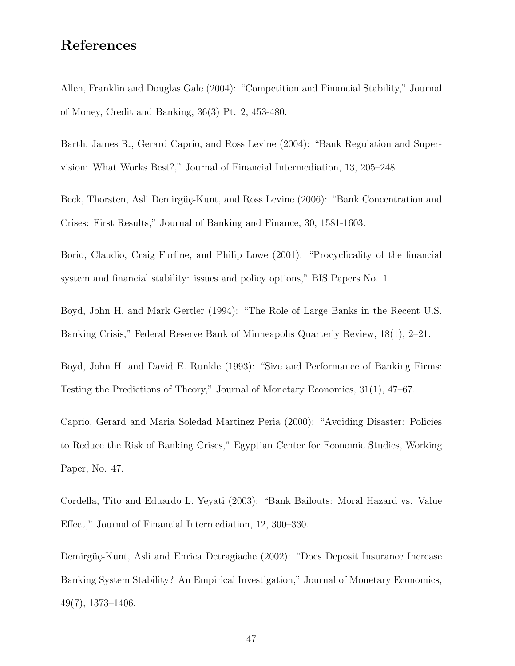### **References**

Allen, Franklin and Douglas Gale (2004): "Competition and Financial Stability," Journal of Money, Credit and Banking, 36(3) Pt. 2, 453-480.

Barth, James R., Gerard Caprio, and Ross Levine (2004): "Bank Regulation and Supervision: What Works Best?," Journal of Financial Intermediation, 13, 205–248.

Beck, Thorsten, Asli Demirgüç-Kunt, and Ross Levine (2006): "Bank Concentration and Crises: First Results," Journal of Banking and Finance, 30, 1581-1603.

Borio, Claudio, Craig Furfine, and Philip Lowe (2001): "Procyclicality of the financial system and financial stability: issues and policy options," BIS Papers No. 1.

Boyd, John H. and Mark Gertler (1994): "The Role of Large Banks in the Recent U.S. Banking Crisis," Federal Reserve Bank of Minneapolis Quarterly Review, 18(1), 2–21.

Boyd, John H. and David E. Runkle (1993): "Size and Performance of Banking Firms: Testing the Predictions of Theory," Journal of Monetary Economics, 31(1), 47–67.

Caprio, Gerard and Maria Soledad Martinez Peria (2000): "Avoiding Disaster: Policies to Reduce the Risk of Banking Crises," Egyptian Center for Economic Studies, Working Paper, No. 47.

Cordella, Tito and Eduardo L. Yeyati (2003): "Bank Bailouts: Moral Hazard vs. Value Effect," Journal of Financial Intermediation, 12, 300–330.

Demirgüç-Kunt, Asli and Enrica Detragiache (2002): "Does Deposit Insurance Increase Banking System Stability? An Empirical Investigation," Journal of Monetary Economics, 49(7), 1373–1406.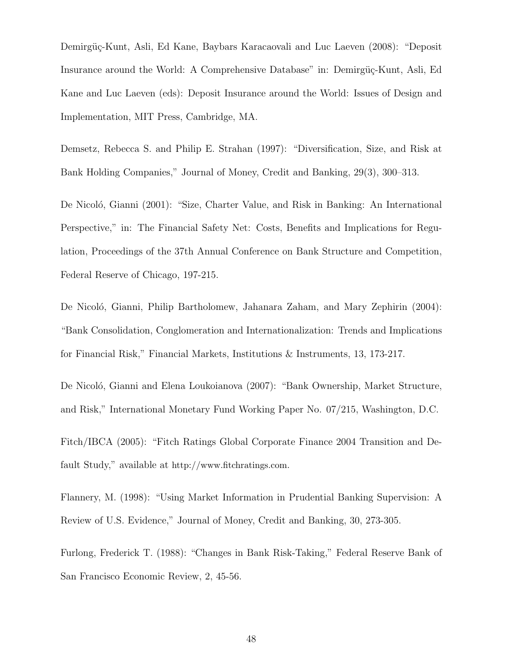Demirgüç-Kunt, Asli, Ed Kane, Baybars Karacaovali and Luc Laeven (2008): "Deposit Insurance around the World: A Comprehensive Database" in: Demirgüç-Kunt, Asli, Ed Kane and Luc Laeven (eds): Deposit Insurance around the World: Issues of Design and Implementation, MIT Press, Cambridge, MA.

Demsetz, Rebecca S. and Philip E. Strahan (1997): "Diversification, Size, and Risk at Bank Holding Companies," Journal of Money, Credit and Banking, 29(3), 300–313.

De Nicoló, Gianni (2001): "Size, Charter Value, and Risk in Banking: An International Perspective," in: The Financial Safety Net: Costs, Benefits and Implications for Regulation, Proceedings of the 37th Annual Conference on Bank Structure and Competition, Federal Reserve of Chicago, 197-215.

De Nicoló, Gianni, Philip Bartholomew, Jahanara Zaham, and Mary Zephirin (2004): "Bank Consolidation, Conglomeration and Internationalization: Trends and Implications for Financial Risk," Financial Markets, Institutions & Instruments, 13, 173-217.

De Nicoló, Gianni and Elena Loukoianova (2007): "Bank Ownership, Market Structure, and Risk," International Monetary Fund Working Paper No. 07/215, Washington, D.C. Fitch/IBCA (2005): "Fitch Ratings Global Corporate Finance 2004 Transition and Default Study," available at http://www.fitchratings.com.

Flannery, M. (1998): "Using Market Information in Prudential Banking Supervision: A Review of U.S. Evidence," Journal of Money, Credit and Banking, 30, 273-305.

Furlong, Frederick T. (1988): "Changes in Bank Risk-Taking," Federal Reserve Bank of San Francisco Economic Review, 2, 45-56.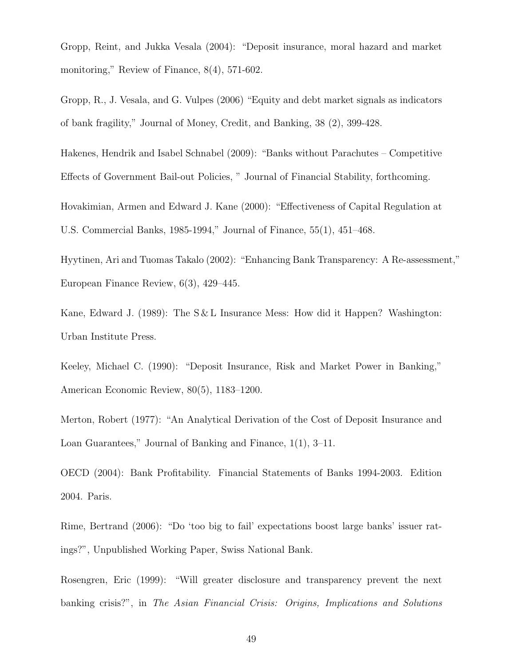Gropp, Reint, and Jukka Vesala (2004): "Deposit insurance, moral hazard and market monitoring," Review of Finance, 8(4), 571-602.

Gropp, R., J. Vesala, and G. Vulpes (2006) "Equity and debt market signals as indicators of bank fragility," Journal of Money, Credit, and Banking, 38 (2), 399-428.

Hakenes, Hendrik and Isabel Schnabel (2009): "Banks without Parachutes – Competitive Effects of Government Bail-out Policies, " Journal of Financial Stability, forthcoming.

Hovakimian, Armen and Edward J. Kane (2000): "Effectiveness of Capital Regulation at U.S. Commercial Banks, 1985-1994," Journal of Finance, 55(1), 451–468.

Hyytinen, Ari and Tuomas Takalo (2002): "Enhancing Bank Transparency: A Re-assessment," European Finance Review, 6(3), 429–445.

Kane, Edward J. (1989): The S & L Insurance Mess: How did it Happen? Washington: Urban Institute Press.

Keeley, Michael C. (1990): "Deposit Insurance, Risk and Market Power in Banking," American Economic Review, 80(5), 1183–1200.

Merton, Robert (1977): "An Analytical Derivation of the Cost of Deposit Insurance and Loan Guarantees," Journal of Banking and Finance, 1(1), 3–11.

OECD (2004): Bank Profitability. Financial Statements of Banks 1994-2003. Edition 2004. Paris.

Rime, Bertrand (2006): "Do 'too big to fail' expectations boost large banks' issuer ratings?", Unpublished Working Paper, Swiss National Bank.

Rosengren, Eric (1999): "Will greater disclosure and transparency prevent the next banking crisis?", in *The Asian Financial Crisis: Origins, Implications and Solutions*